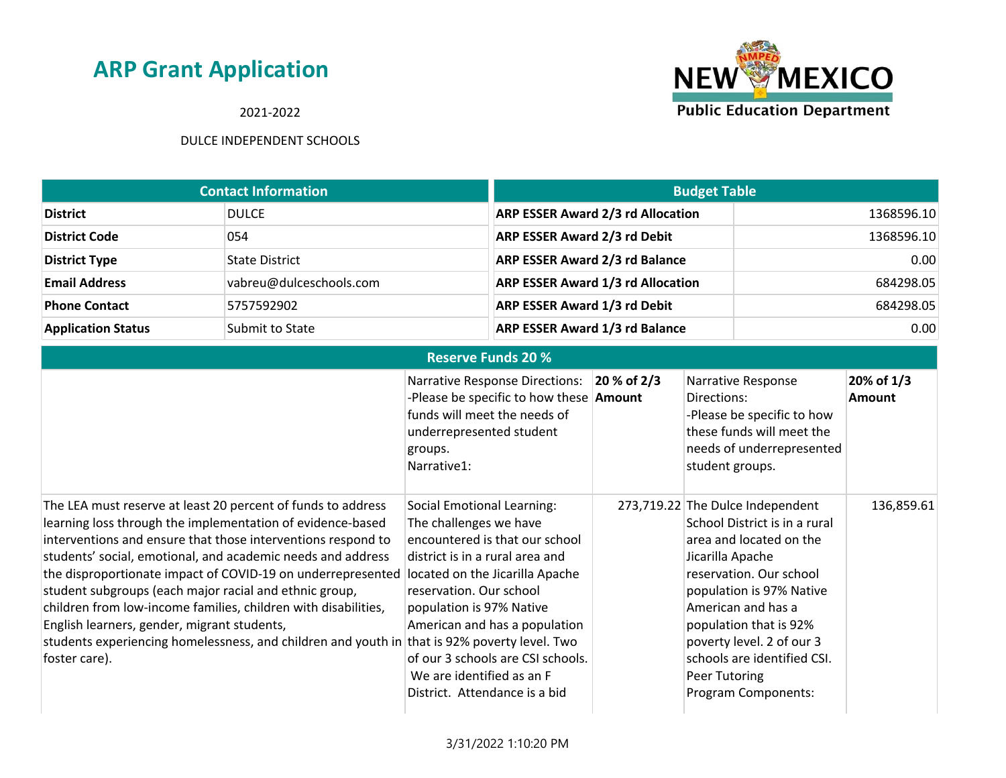2021-2022



|                           | <b>Contact Information</b> | <b>Budget Table</b>                      |            |
|---------------------------|----------------------------|------------------------------------------|------------|
| <b>District</b>           | <b>DULCE</b>               | <b>ARP ESSER Award 2/3 rd Allocation</b> | 1368596.10 |
| <b>District Code</b>      | 054                        | ARP ESSER Award 2/3 rd Debit             | 1368596.10 |
| <b>District Type</b>      | <b>State District</b>      | <b>ARP ESSER Award 2/3 rd Balance</b>    | 0.00       |
| <b>Email Address</b>      | vabreu@dulceschools.com    | <b>ARP ESSER Award 1/3 rd Allocation</b> | 684298.05  |
| <b>Phone Contact</b>      | 5757592902                 | <b>ARP ESSER Award 1/3 rd Debit</b>      | 684298.05  |
| <b>Application Status</b> | Submit to State            | <b>ARP ESSER Award 1/3 rd Balance</b>    | 0.00       |

| <b>Reserve Funds 20 %</b>                                                                                                                                                                                                                                                                                                                                                                                                                                                                                                                                                             |                                                                                                                                                                                                                                                                                                                                                                                           |                |                                                                                                                                                                                                                                                                                                                             |                             |
|---------------------------------------------------------------------------------------------------------------------------------------------------------------------------------------------------------------------------------------------------------------------------------------------------------------------------------------------------------------------------------------------------------------------------------------------------------------------------------------------------------------------------------------------------------------------------------------|-------------------------------------------------------------------------------------------------------------------------------------------------------------------------------------------------------------------------------------------------------------------------------------------------------------------------------------------------------------------------------------------|----------------|-----------------------------------------------------------------------------------------------------------------------------------------------------------------------------------------------------------------------------------------------------------------------------------------------------------------------------|-----------------------------|
|                                                                                                                                                                                                                                                                                                                                                                                                                                                                                                                                                                                       | <b>Narrative Response Directions:</b><br>-Please be specific to how these <b>Amount</b><br>funds will meet the needs of<br>underrepresented student<br>groups.<br>Narrative1:                                                                                                                                                                                                             | $ 20 %$ of 2/3 | Narrative Response<br>Directions:<br>-Please be specific to how<br>these funds will meet the<br>needs of underrepresented<br>student groups.                                                                                                                                                                                | 20% of 1/3<br><b>Amount</b> |
| The LEA must reserve at least 20 percent of funds to address<br>learning loss through the implementation of evidence-based<br>interventions and ensure that those interventions respond to<br>students' social, emotional, and academic needs and address<br>the disproportionate impact of COVID-19 on underrepresented<br>student subgroups (each major racial and ethnic group,<br>children from low-income families, children with disabilities,<br>English learners, gender, migrant students,<br>students experiencing homelessness, and children and youth in<br>foster care). | Social Emotional Learning:<br>The challenges we have<br>encountered is that our school<br>district is in a rural area and<br>located on the Jicarilla Apache<br>reservation. Our school<br>population is 97% Native<br>American and has a population<br>that is 92% poverty level. Two<br>of our 3 schools are CSI schools.<br>We are identified as an F<br>District. Attendance is a bid |                | 273,719.22 The Dulce Independent<br>School District is in a rural<br>area and located on the<br>Jicarilla Apache<br>reservation. Our school<br>population is 97% Native<br>American and has a<br>population that is 92%<br>poverty level. 2 of our 3<br>schools are identified CSI.<br>Peer Tutoring<br>Program Components: | 136,859.61                  |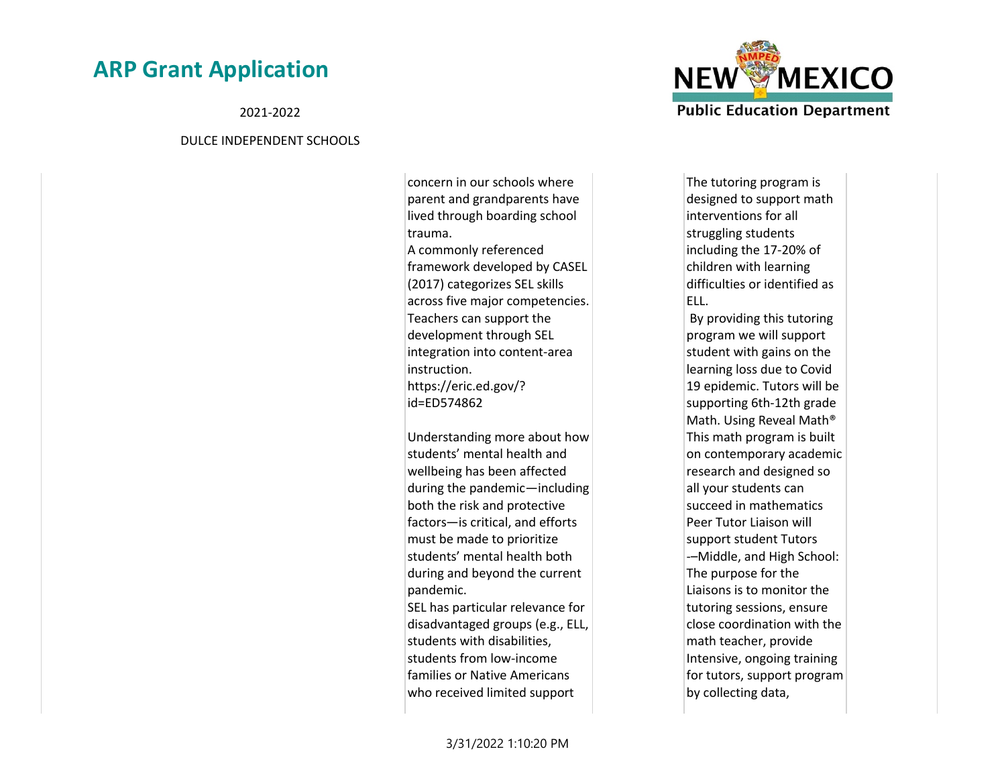2021-2022

#### DULCE INDEPENDENT SCHOOLS

concern in our schools where parent and grandparents have lived through boarding school trauma. A commonly referenced framework developed by CASEL (2017) categorizes SEL skills across five major competencies. Teachers can support the development through SEL integration into content-area instruction. https://eric.ed.gov/? id=ED574862

Understanding more about how students' mental health and wellbeing has been affected during the pandemic—including both the risk and protective factors—is critical, and efforts must be made to prioritize students' mental health both during and beyond the current pandemic. SEL has particular relevance for disadvantaged groups (e.g., ELL, students with disabilities, students from low-income families or Native Americans who received limited support



The tutoring program is designed to support math interventions for all struggling students including the 17-20% of children with learning difficulties or identified as ELL.

 By providing this tutoring program we will support student with gains on the learning loss due to Covid 19 epidemic. Tutors will be supporting 6th-12th grade Math. Using Reveal Math® This math program is built on contemporary academic research and designed so all your students can succeed in mathematics Peer Tutor Liaison will support student Tutors -–Middle, and High School: The purpose for the Liaisons is to monitor the tutoring sessions, ensure close coordination with the math teacher, provide Intensive, ongoing training for tutors, support program by collecting data,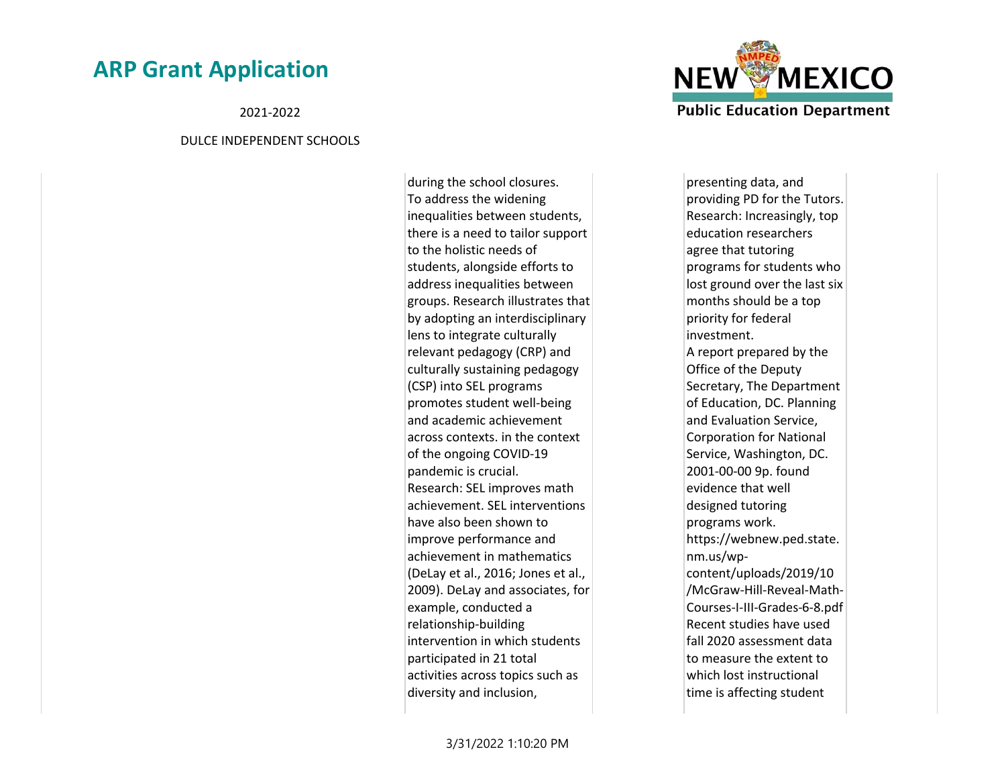2021-2022

#### DULCE INDEPENDENT SCHOOLS

during the school closures. To address the widening inequalities between students, there is a need to tailor support to the holistic needs of students, alongside efforts to address inequalities between groups. Research illustrates that by adopting an interdisciplinary lens to integrate culturally relevant pedagogy (CRP) and culturally sustaining pedagogy (CSP) into SEL programs promotes student well-being and academic achievement across contexts. in the context of the ongoing COVID-19 pandemic is crucial. Research: SEL improves math achievement. SEL interventions have also been shown to improve performance and achievement in mathematics (DeLay et al., 2016; Jones et al., 2009). DeLay and associates, for example, conducted a relationship-building intervention in which students participated in 21 total activities across topics such as diversity and inclusion,



presenting data, and providing PD for the Tutors. Research: Increasingly, top education researchers agree that tutoring programs for students who lost ground over the last six months should be a top priority for federal investment. A report prepared by the Office of the Deputy Secretary, The Department of Education, DC. Planning and Evaluation Service, Corporation for National Service, Washington, DC. 2001-00-00 9p. found evidence that well designed tutoring programs work. https://webnew.ped.state. nm.us/wpcontent/uploads/2019/10 /McGraw-Hill-Reveal-Math-Courses-I-III-Grades-6-8.pdf Recent studies have used fall 2020 assessment data to measure the extent to which lost instructional time is affecting student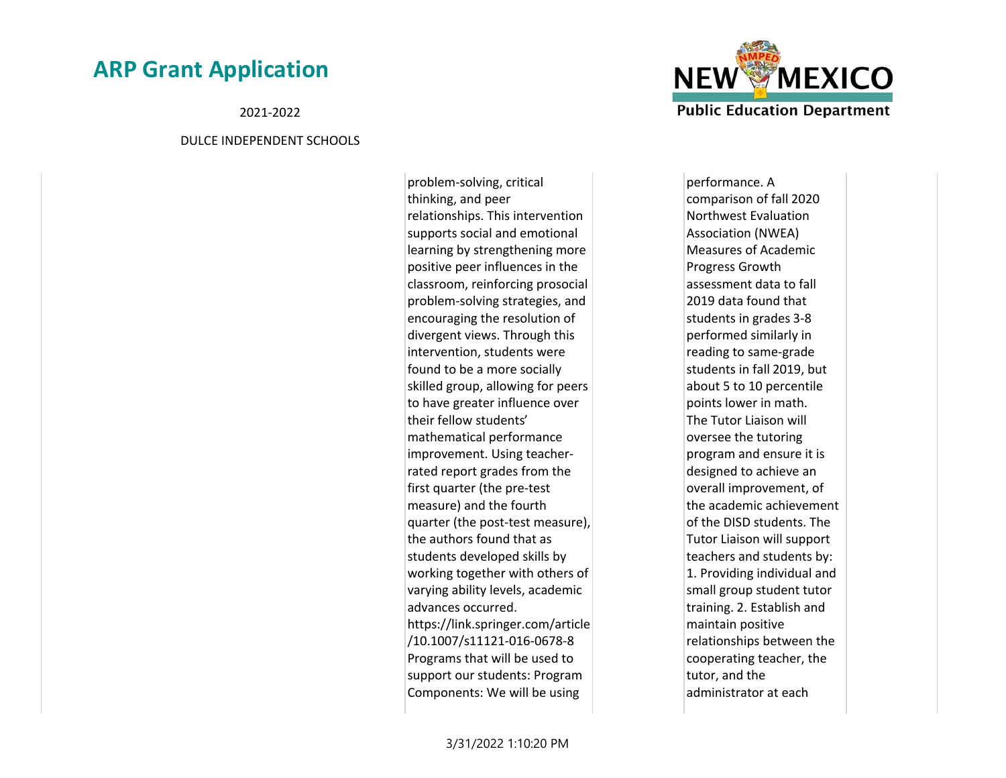2021-2022

#### DULCE INDEPENDENT SCHOOLS

problem-solving, critical thinking, and peer relationships. This intervention supports social and emotional learning by strengthening more positive peer influences in the classroom, reinforcing prosocial problem-solving strategies, and encouraging the resolution of divergent views. Through this intervention, students were found to be a more socially skilled group, allowing for peers to have greater influence over their fellow students' mathematical performance improvement. Using teacherrated report grades from the first quarter (the pre-test measure) and the fourth quarter (the post-test measure), the authors found that as students developed skills by working together with others of varying ability levels, academic advances occurred. https://link.springer.com/article /10.1007/s11121-016-0678-8 Programs that will be used to support our students: Program Components: We will be using



performance. A comparison of fall 2020 Northwest Evaluation Association (NWEA) Measures of Academic Progress Growth assessment data to fall 2019 data found that students in grades 3-8 performed similarly in reading to same-grade students in fall 2019, but about 5 to 10 percentile points lower in math. The Tutor Liaison will oversee the tutoring program and ensure it is designed to achieve an overall improvement, of the academic achievement of the DISD students. The Tutor Liaison will support teachers and students by: 1. Providing individual and small group student tutor training. 2. Establish and maintain positive relationships between the cooperating teacher, the tutor, and the administrator at each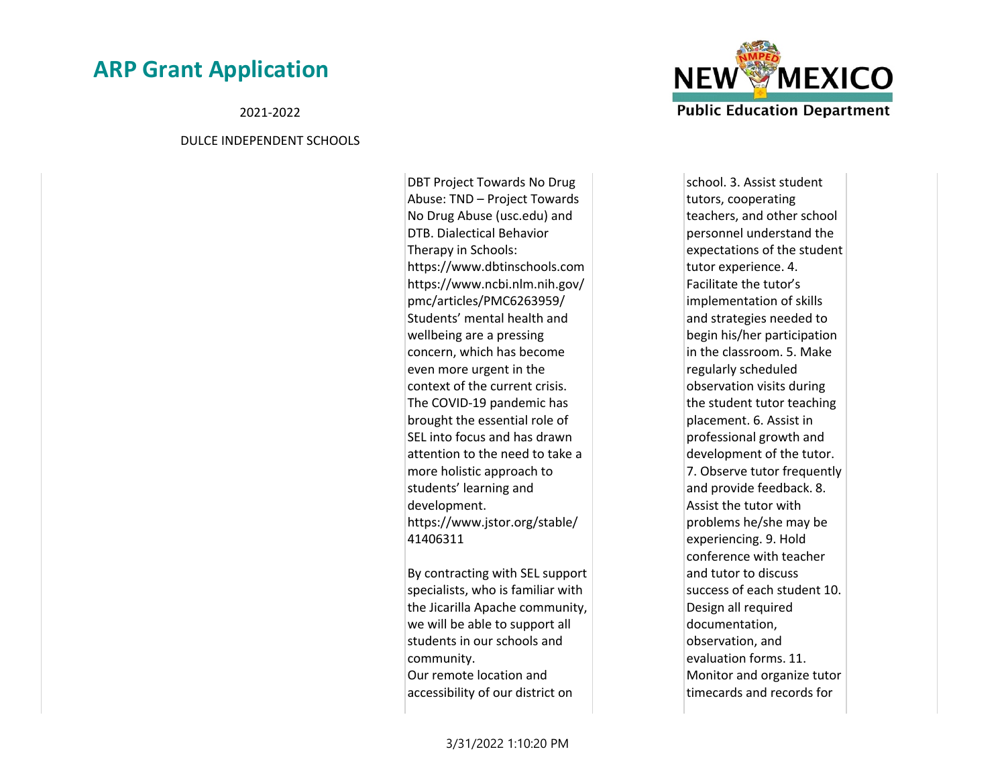2021-2022

#### DULCE INDEPENDENT SCHOOLS

DBT Project Towards No Drug Abuse: TND – Project Towards No Drug Abuse (usc.edu) and DTB. Dialectical Behavior Therapy in Schools: https://www.dbtinschools.com https://www.ncbi.nlm.nih.gov/ pmc/articles/PMC6263959/ Students' mental health and wellbeing are a pressing concern, which has become even more urgent in the context of the current crisis. The COVID-19 pandemic has brought the essential role of SEL into focus and has drawn attention to the need to take a more holistic approach to students' learning and development. https://www.jstor.org/stable/ 41406311

By contracting with SEL support specialists, who is familiar with the Jicarilla Apache community, we will be able to support all students in our schools and community. Our remote location and

accessibility of our district on



school. 3. Assist student tutors, cooperating teachers, and other school personnel understand the expectations of the student tutor experience. 4. Facilitate the tutor's implementation of skills and strategies needed to begin his/her participation in the classroom. 5. Make regularly scheduled observation visits during the student tutor teaching placement. 6. Assist in professional growth and development of the tutor. 7. Observe tutor frequently and provide feedback. 8. Assist the tutor with problems he/she may be experiencing. 9. Hold conference with teacher and tutor to discuss success of each student 10. Design all required documentation, observation, and evaluation forms. 11. Monitor and organize tutor timecards and records for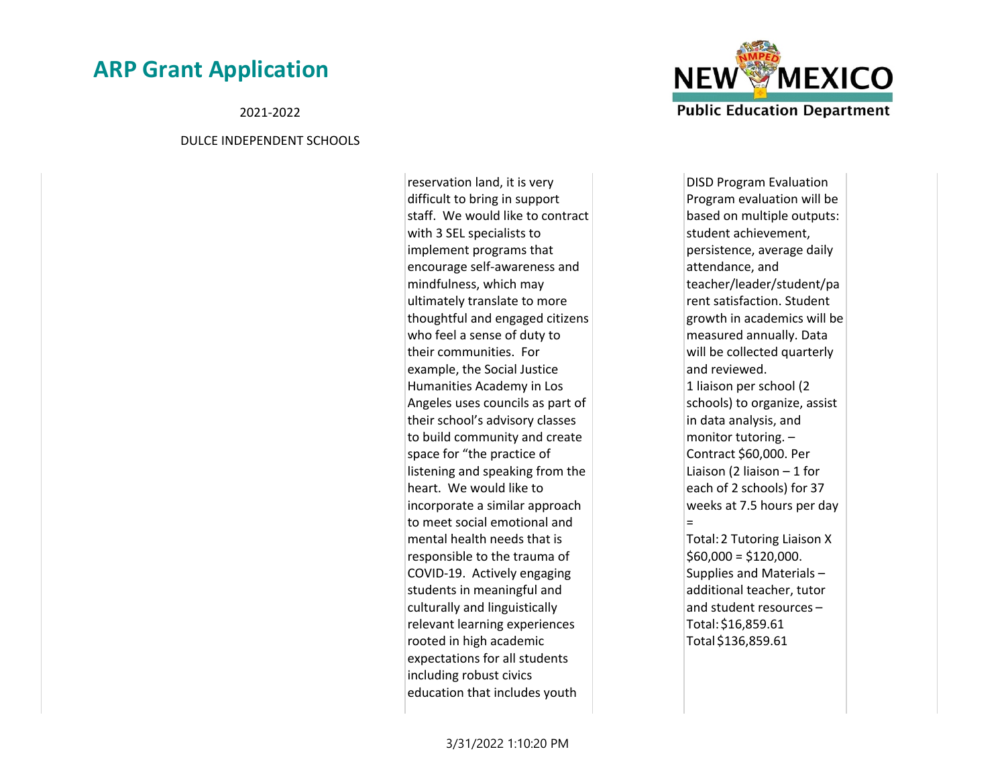2021-2022

#### DULCE INDEPENDENT SCHOOLS

reservation land, it is very difficult to bring in support staff. We would like to contract with 3 SEL specialists to implement programs that encourage self-awareness and mindfulness, which may ultimately translate to more thoughtful and engaged citizens who feel a sense of duty to their communities. For example, the Social Justice Humanities Academy in Los Angeles uses councils as part of their school's advisory classes to build community and create space for "the practice of listening and speaking from the heart. We would like to incorporate a similar approach to meet social emotional and mental health needs that is responsible to the trauma of COVID-19. Actively engaging students in meaningful and culturally and linguistically relevant learning experiences rooted in high academic expectations for all students including robust civics education that includes youth



DISD Program Evaluation Program evaluation will be based on multiple outputs: student achievement, persistence, average daily attendance, and teacher/leader/student/pa rent satisfaction. Student growth in academics will be measured annually. Data will be collected quarterly and reviewed. 1 liaison per school (2 schools) to organize, assist in data analysis, and monitor tutoring. – Contract \$60,000. Per Liaison (2 liaison – 1 for each of 2 schools) for 37 weeks at 7.5 hours per day = Total: 2 Tutoring Liaison X  $$60,000 = $120,000$ . Supplies and Materials – additional teacher, tutor and student resources – Total: \$16,859.61 Total \$136,859.61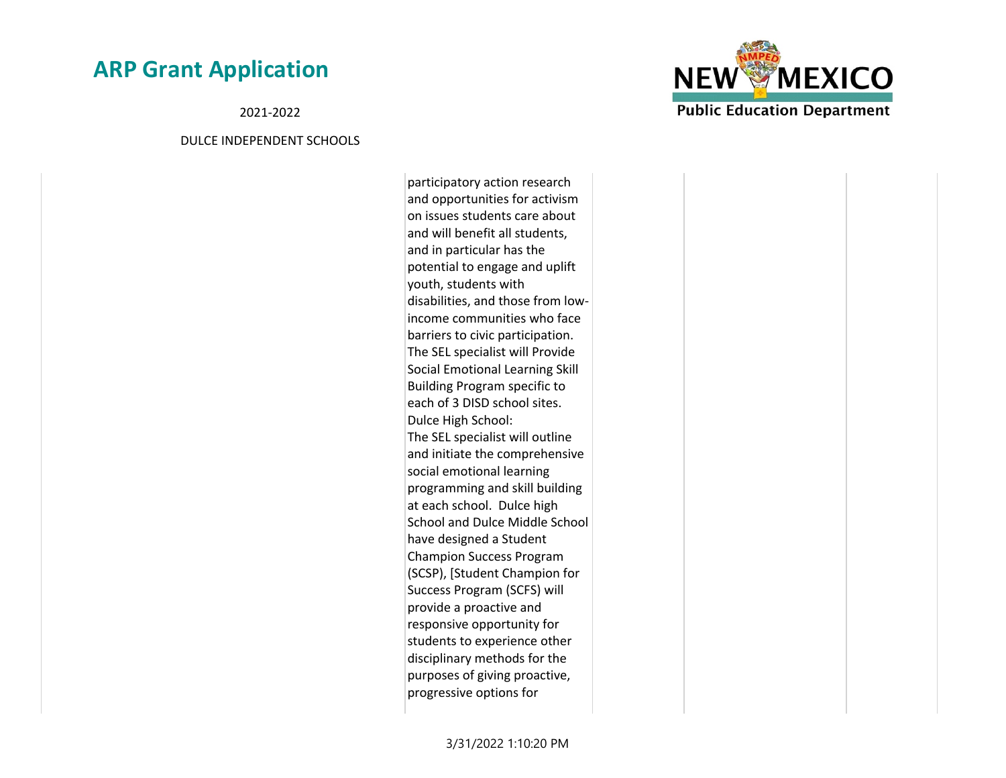2021-2022

#### DULCE INDEPENDENT SCHOOLS

participatory action research and opportunities for activism on issues students care about and will benefit all students, and in particular has the potential to engage and uplift youth, students with disabilities, and those from lowincome communities who face barriers to civic participation. The SEL specialist will Provide Social Emotional Learning Skill Building Program specific to each of 3 DISD school sites. Dulce High School: The SEL specialist will outline and initiate the comprehensive social emotional learning programming and skill building at each school. Dulce high School and Dulce Middle School have designed a Student Champion Success Program (SCSP), [Student Champion for Success Program (SCFS) will provide a proactive and responsive opportunity for students to experience other disciplinary methods for the purposes of giving proactive, progressive options for

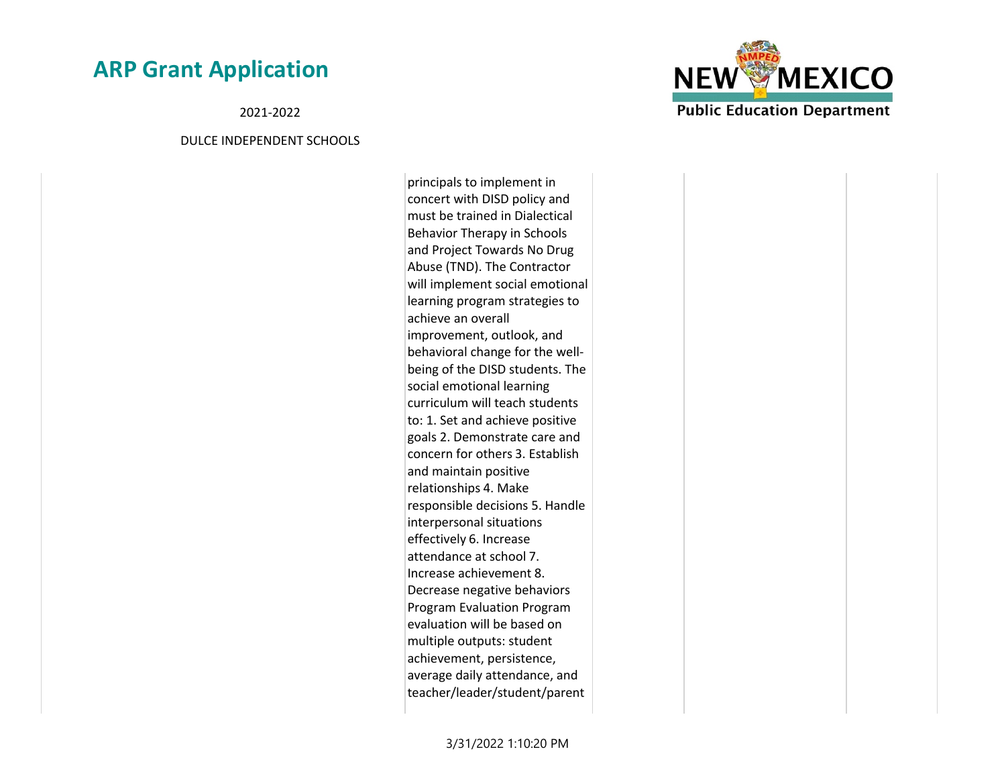2021-2022

#### DULCE INDEPENDENT SCHOOLS

principals to implement in concert with DISD policy and must be trained in Dialectical Behavior Therapy in Schools and Project Towards No Drug Abuse (TND). The Contractor will implement social emotional learning program strategies to achieve an overall improvement, outlook, and behavioral change for the wellbeing of the DISD students. The social emotional learning curriculum will teach students to: 1. Set and achieve positive goals 2. Demonstrate care and concern for others 3. Establish and maintain positive relationships 4. Make responsible decisions 5. Handle interpersonal situations effectively 6. Increase attendance at school 7. Increase achievement 8. Decrease negative behaviors Program Evaluation Program evaluation will be based on multiple outputs: student achievement, persistence, average daily attendance, and teacher/leader/student/parent

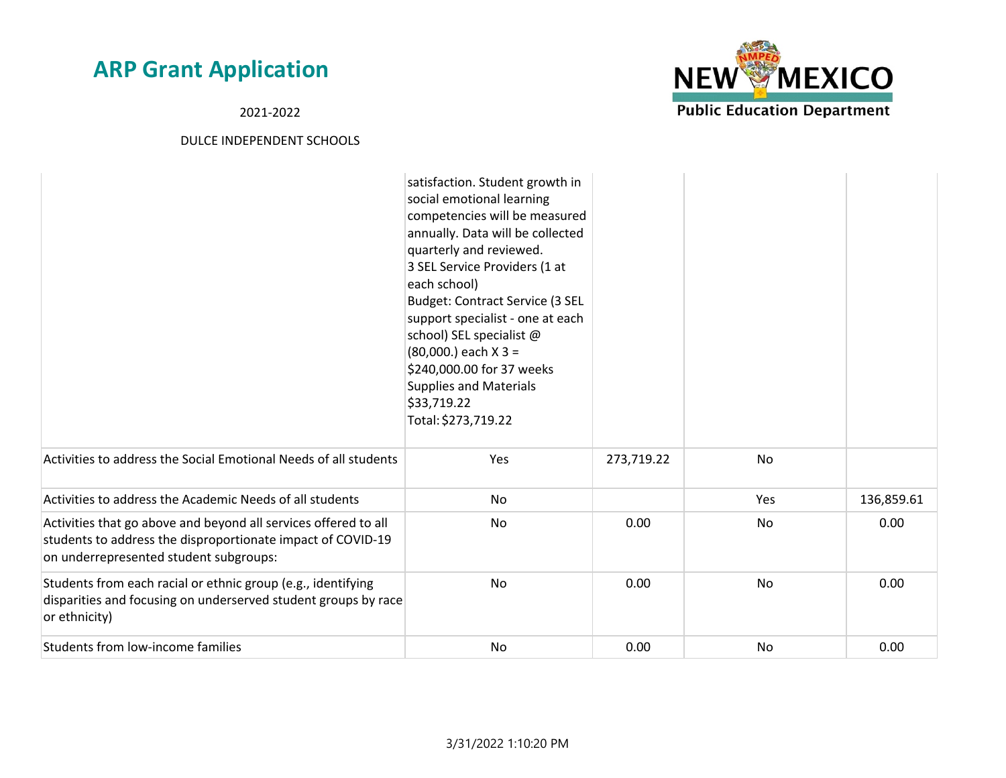2021-2022



|                                                                                                                                                                          | satisfaction. Student growth in<br>social emotional learning<br>competencies will be measured<br>annually. Data will be collected<br>quarterly and reviewed.<br>3 SEL Service Providers (1 at<br>each school)<br>Budget: Contract Service (3 SEL<br>support specialist - one at each<br>school) SEL specialist @<br>$(80,000.)$ each X 3 =<br>\$240,000.00 for 37 weeks<br><b>Supplies and Materials</b><br>\$33,719.22<br>Total: \$273,719.22 |            |           |            |
|--------------------------------------------------------------------------------------------------------------------------------------------------------------------------|------------------------------------------------------------------------------------------------------------------------------------------------------------------------------------------------------------------------------------------------------------------------------------------------------------------------------------------------------------------------------------------------------------------------------------------------|------------|-----------|------------|
| Activities to address the Social Emotional Needs of all students                                                                                                         | Yes                                                                                                                                                                                                                                                                                                                                                                                                                                            | 273,719.22 | No        |            |
| Activities to address the Academic Needs of all students                                                                                                                 | No                                                                                                                                                                                                                                                                                                                                                                                                                                             |            | Yes       | 136,859.61 |
| Activities that go above and beyond all services offered to all<br>students to address the disproportionate impact of COVID-19<br>on underrepresented student subgroups: | No                                                                                                                                                                                                                                                                                                                                                                                                                                             | 0.00       | No        | 0.00       |
| Students from each racial or ethnic group (e.g., identifying<br>disparities and focusing on underserved student groups by race<br>or ethnicity)                          | No                                                                                                                                                                                                                                                                                                                                                                                                                                             | 0.00       | No        | 0.00       |
| Students from low-income families                                                                                                                                        | No                                                                                                                                                                                                                                                                                                                                                                                                                                             | 0.00       | <b>No</b> | 0.00       |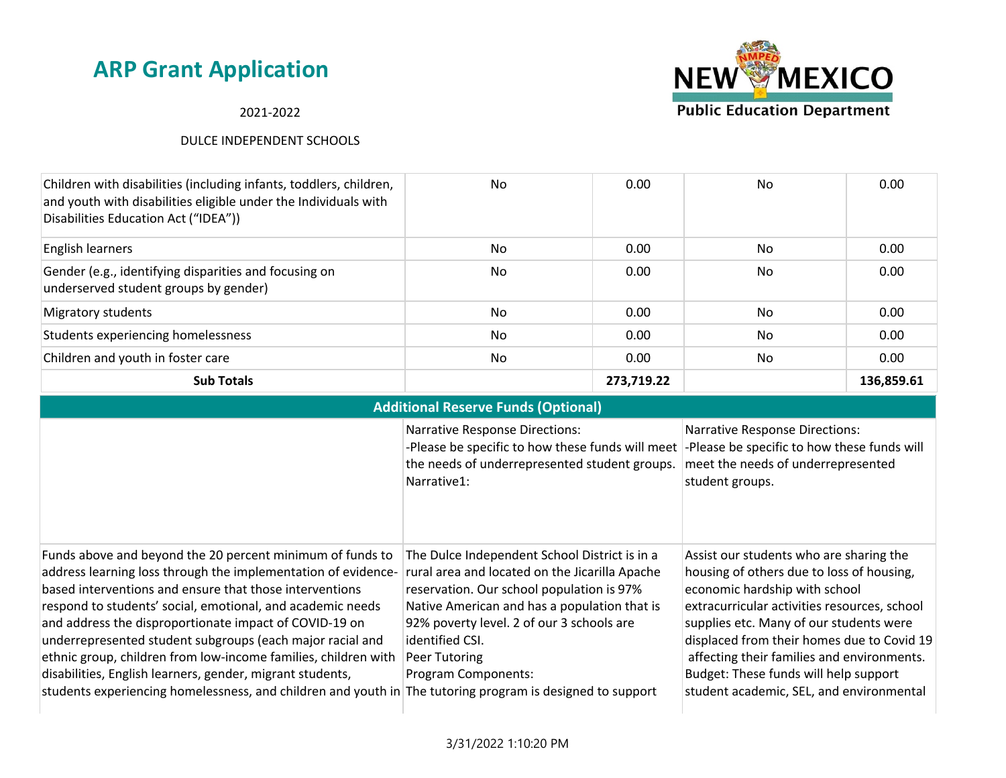#### 2021-2022

#### DULCE INDEPENDENT SCHOOLS

| Children with disabilities (including infants, toddlers, children,<br>and youth with disabilities eligible under the Individuals with<br>Disabilities Education Act ("IDEA")) | No  | 0.00       | No  | 0.00       |
|-------------------------------------------------------------------------------------------------------------------------------------------------------------------------------|-----|------------|-----|------------|
| English learners                                                                                                                                                              | No  | 0.00       | No. | 0.00       |
| Gender (e.g., identifying disparities and focusing on<br>underserved student groups by gender)                                                                                | No. | 0.00       | No. | 0.00       |
| Migratory students                                                                                                                                                            | No  | 0.00       | No. | 0.00       |
| Students experiencing homelessness                                                                                                                                            | No  | 0.00       | No. | 0.00       |
| Children and youth in foster care                                                                                                                                             | No  | 0.00       | No. | 0.00       |
| <b>Sub Totals</b>                                                                                                                                                             |     | 273,719.22 |     | 136.859.61 |

| <b>Additional Reserve Funds (Optional)</b>                                                                                                                                                                                                                                                                                                                                                                                                                                                                                                                                 |                                                                                                                                                                                                                                                                                                                                                     |                                                                                                                                                                                                                                                                                                                                                                                                   |  |  |
|----------------------------------------------------------------------------------------------------------------------------------------------------------------------------------------------------------------------------------------------------------------------------------------------------------------------------------------------------------------------------------------------------------------------------------------------------------------------------------------------------------------------------------------------------------------------------|-----------------------------------------------------------------------------------------------------------------------------------------------------------------------------------------------------------------------------------------------------------------------------------------------------------------------------------------------------|---------------------------------------------------------------------------------------------------------------------------------------------------------------------------------------------------------------------------------------------------------------------------------------------------------------------------------------------------------------------------------------------------|--|--|
|                                                                                                                                                                                                                                                                                                                                                                                                                                                                                                                                                                            | <b>Narrative Response Directions:</b><br>-Please be specific to how these funds will meet<br>the needs of underrepresented student groups.<br>Narrative1:                                                                                                                                                                                           | <b>Narrative Response Directions:</b><br>-Please be specific to how these funds will<br>meet the needs of underrepresented<br>student groups.                                                                                                                                                                                                                                                     |  |  |
| Funds above and beyond the 20 percent minimum of funds to<br>address learning loss through the implementation of evidence-<br>based interventions and ensure that those interventions<br>respond to students' social, emotional, and academic needs<br>and address the disproportionate impact of COVID-19 on<br>underrepresented student subgroups (each major racial and<br>ethnic group, children from low-income families, children with<br>disabilities, English learners, gender, migrant students,<br>students experiencing homelessness, and children and youth in | The Dulce Independent School District is in a<br>rural area and located on the Jicarilla Apache<br>reservation. Our school population is 97%<br>Native American and has a population that is<br>92% poverty level. 2 of our 3 schools are<br>identified CSI.<br>Peer Tutoring<br>Program Components:<br>The tutoring program is designed to support | Assist our students who are sharing the<br>housing of others due to loss of housing,<br>economic hardship with school<br>extracurricular activities resources, school<br>supplies etc. Many of our students were<br>displaced from their homes due to Covid 19<br>affecting their families and environments.<br>Budget: These funds will help support<br>student academic, SEL, and environmental |  |  |

3/31/2022 1:10:20 PM

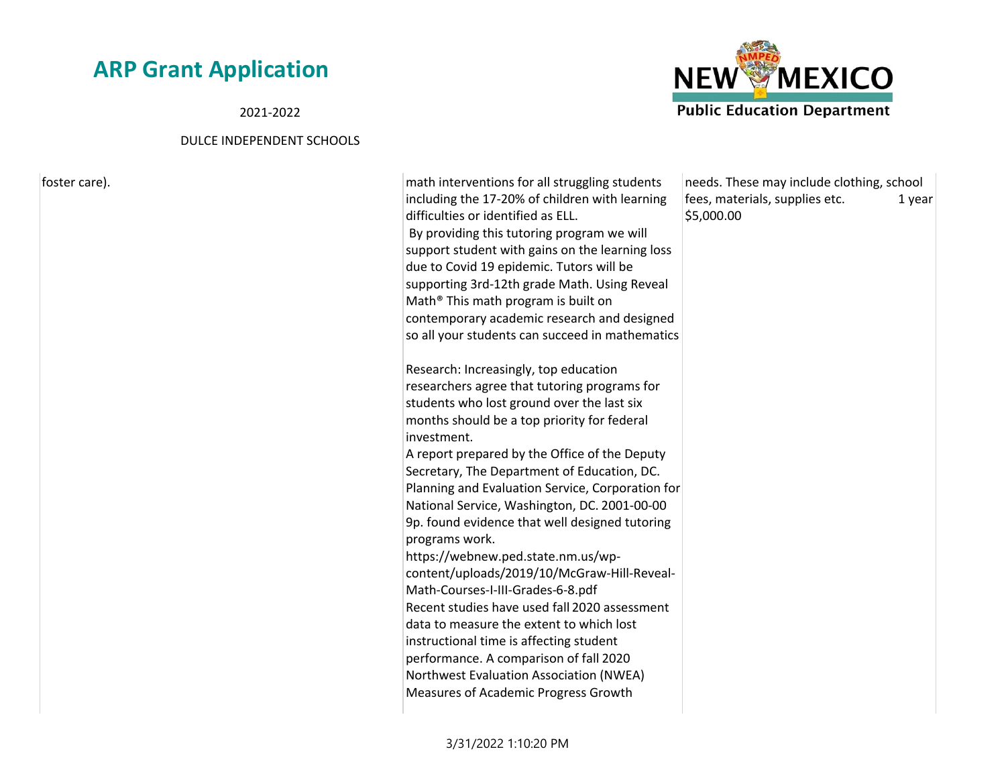2021-2022

#### DULCE INDEPENDENT SCHOOLS



needs. These may include clothing, school fees, materials, supplies etc. 1 year \$5,000.00

**NEW MEXICO Public Education Department** 

3/31/2022 1:10:20 PM

Measures of Academic Progress Growth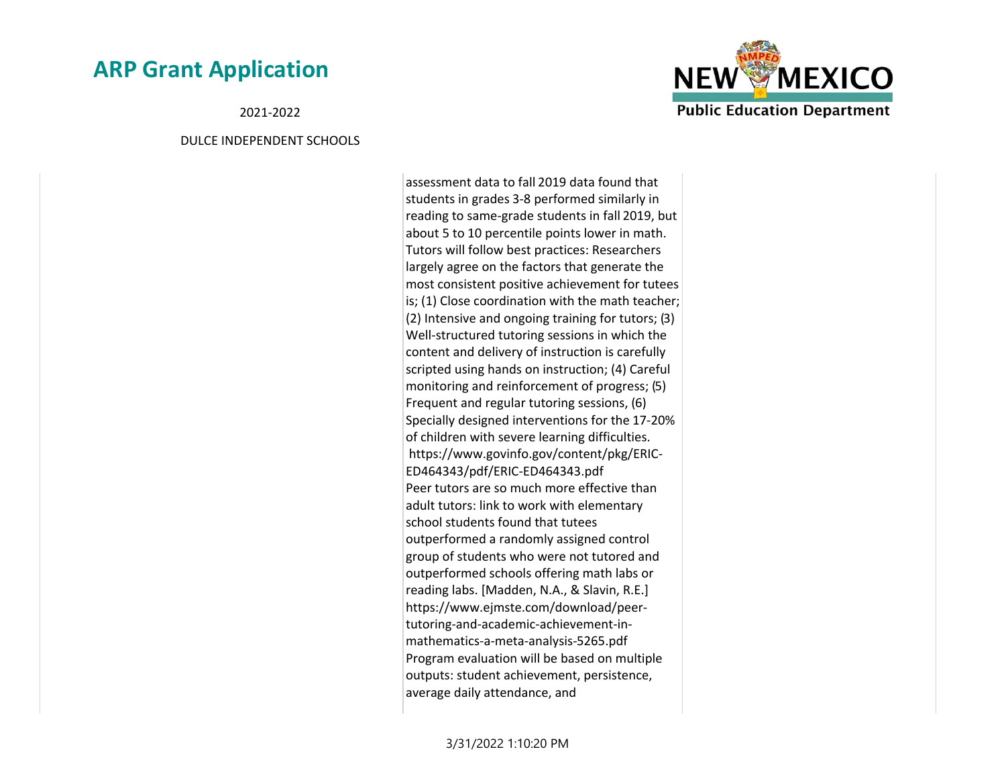2021-2022

#### DULCE INDEPENDENT SCHOOLS

assessment data to fall 2019 data found that students in grades 3-8 performed similarly in reading to same-grade students in fall 2019, but about 5 to 10 percentile points lower in math. Tutors will follow best practices: Researchers largely agree on the factors that generate the most consistent positive achievement for tutees is; (1) Close coordination with the math teacher; (2) Intensive and ongoing training for tutors; (3) Well-structured tutoring sessions in which the content and delivery of instruction is carefully scripted using hands on instruction; (4) Careful monitoring and reinforcement of progress; (5) Frequent and regular tutoring sessions, (6) Specially designed interventions for the 17-20% of children with severe learning difficulties. https://www.govinfo.gov/content/pkg/ERIC-ED464343/pdf/ERIC-ED464343.pdf Peer tutors are so much more effective than adult tutors: link to work with elementary school students found that tutees outperformed a randomly assigned control group of students who were not tutored and outperformed schools offering math labs or reading labs. [Madden, N.A., & Slavin, R.E.] https://www.ejmste.com/download/peertutoring-and-academic-achievement-inmathematics-a-meta-analysis-5265.pdf Program evaluation will be based on multiple outputs: student achievement, persistence, average daily attendance, and

**NEW MEXICO Public Education Department** 

3/31/2022 1:10:20 PM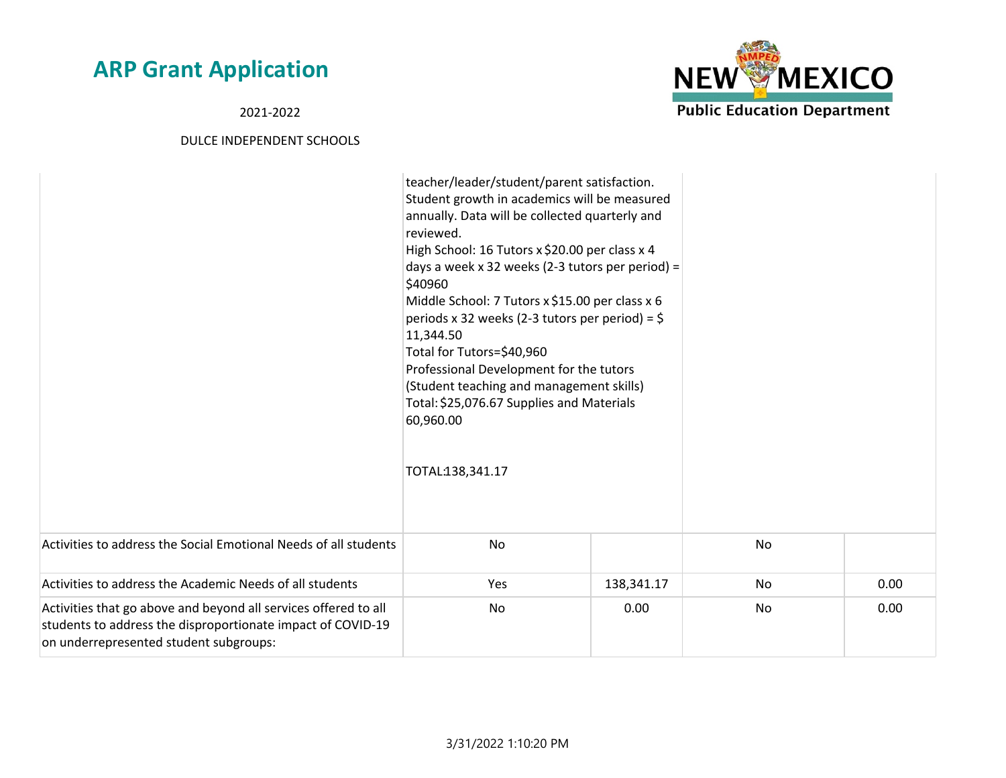2021-2022



|                                                                                                                                                                          | teacher/leader/student/parent satisfaction.<br>Student growth in academics will be measured<br>annually. Data will be collected quarterly and<br>reviewed.<br>High School: 16 Tutors x \$20.00 per class x 4<br>days a week x 32 weeks (2-3 tutors per period) =<br>\$40960<br>Middle School: 7 Tutors x \$15.00 per class x 6<br>periods x 32 weeks (2-3 tutors per period) = $\frac{1}{2}$<br>11,344.50<br>Total for Tutors=\$40,960<br>Professional Development for the tutors<br>(Student teaching and management skills)<br>Total: \$25,076.67 Supplies and Materials<br>60,960.00<br>TOTAL:138,341.17 |            |    |      |
|--------------------------------------------------------------------------------------------------------------------------------------------------------------------------|-------------------------------------------------------------------------------------------------------------------------------------------------------------------------------------------------------------------------------------------------------------------------------------------------------------------------------------------------------------------------------------------------------------------------------------------------------------------------------------------------------------------------------------------------------------------------------------------------------------|------------|----|------|
| Activities to address the Social Emotional Needs of all students                                                                                                         | <b>No</b>                                                                                                                                                                                                                                                                                                                                                                                                                                                                                                                                                                                                   |            | No |      |
| Activities to address the Academic Needs of all students                                                                                                                 | Yes                                                                                                                                                                                                                                                                                                                                                                                                                                                                                                                                                                                                         | 138,341.17 | No | 0.00 |
| Activities that go above and beyond all services offered to all<br>students to address the disproportionate impact of COVID-19<br>on underrepresented student subgroups: | No                                                                                                                                                                                                                                                                                                                                                                                                                                                                                                                                                                                                          | 0.00       | No | 0.00 |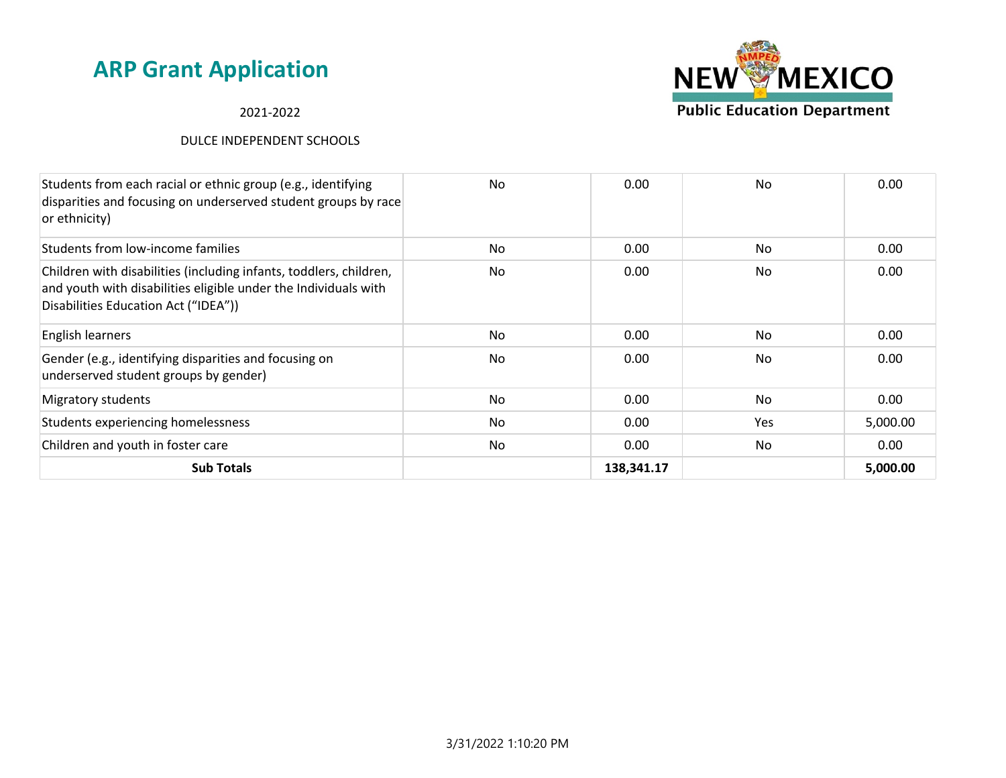#### 2021-2022



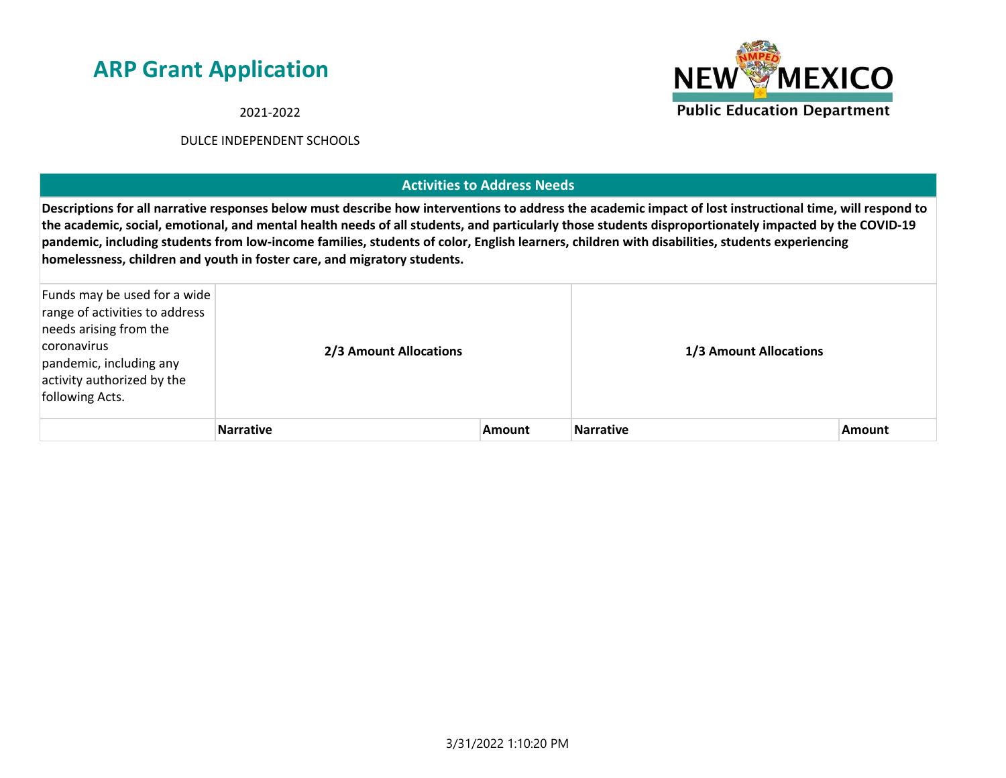2021-2022

#### DULCE INDEPENDENT SCHOOLS

#### **Activities to Address Needs**

**Descriptions for all narrative responses below must describe how interventions to address the academic impact of lost instructional time, will respond to the academic, social, emotional, and mental health needs of all students, and particularly those students disproportionately impacted by the COVID-19 pandemic, including students from low-income families, students of color, English learners, children with disabilities, students experiencing homelessness, children and youth in foster care, and migratory students.**

| Funds may be used for a wide<br>range of activities to address<br>needs arising from the<br>coronavirus<br>pandemic, including any<br>activity authorized by the<br>following Acts. | 2/3 Amount Allocations |               | 1/3 Amount Allocations |               |
|-------------------------------------------------------------------------------------------------------------------------------------------------------------------------------------|------------------------|---------------|------------------------|---------------|
|                                                                                                                                                                                     | <b>Narrative</b>       | <b>Amount</b> | <b>Narrative</b>       | <b>Amount</b> |

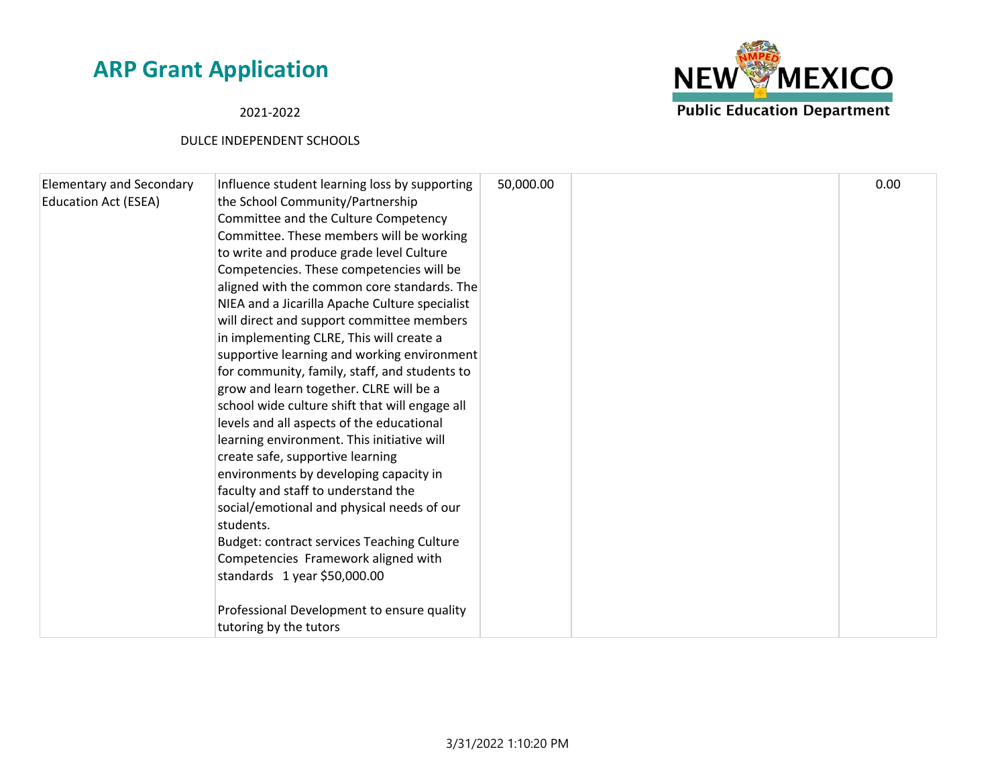#### 2021-2022



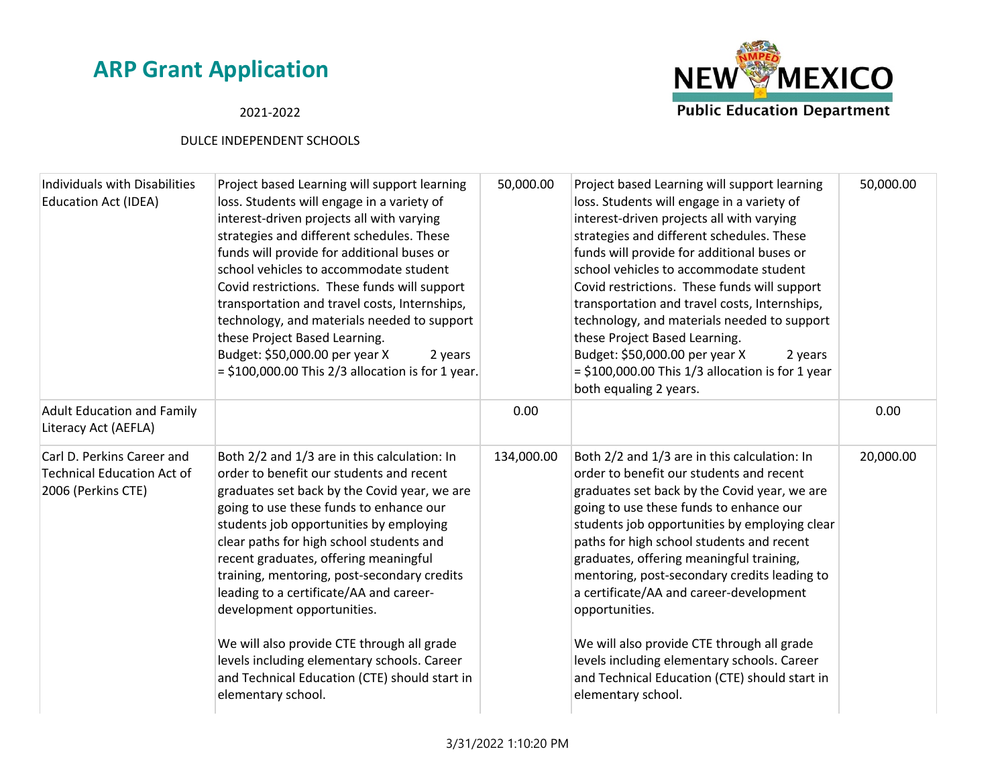# **NEW MEXICO Public Education Department**

#### 2021-2022

| Individuals with Disabilities<br><b>Education Act (IDEA)</b>                          | Project based Learning will support learning<br>loss. Students will engage in a variety of<br>interest-driven projects all with varying<br>strategies and different schedules. These<br>funds will provide for additional buses or<br>school vehicles to accommodate student<br>Covid restrictions. These funds will support<br>transportation and travel costs, Internships,<br>technology, and materials needed to support<br>these Project Based Learning.<br>Budget: \$50,000.00 per year X<br>2 years<br>$=$ \$100,000.00 This 2/3 allocation is for 1 year.                                               | 50,000.00  | Project based Learning will support learning<br>loss. Students will engage in a variety of<br>interest-driven projects all with varying<br>strategies and different schedules. These<br>funds will provide for additional buses or<br>school vehicles to accommodate student<br>Covid restrictions. These funds will support<br>transportation and travel costs, Internships,<br>technology, and materials needed to support<br>these Project Based Learning.<br>Budget: \$50,000.00 per year X<br>2 years<br>$=$ \$100,000.00 This 1/3 allocation is for 1 year<br>both equaling 2 years.                     | 50,000.00 |
|---------------------------------------------------------------------------------------|-----------------------------------------------------------------------------------------------------------------------------------------------------------------------------------------------------------------------------------------------------------------------------------------------------------------------------------------------------------------------------------------------------------------------------------------------------------------------------------------------------------------------------------------------------------------------------------------------------------------|------------|----------------------------------------------------------------------------------------------------------------------------------------------------------------------------------------------------------------------------------------------------------------------------------------------------------------------------------------------------------------------------------------------------------------------------------------------------------------------------------------------------------------------------------------------------------------------------------------------------------------|-----------|
| <b>Adult Education and Family</b><br>Literacy Act (AEFLA)                             |                                                                                                                                                                                                                                                                                                                                                                                                                                                                                                                                                                                                                 | 0.00       |                                                                                                                                                                                                                                                                                                                                                                                                                                                                                                                                                                                                                | 0.00      |
| Carl D. Perkins Career and<br><b>Technical Education Act of</b><br>2006 (Perkins CTE) | Both 2/2 and 1/3 are in this calculation: In<br>order to benefit our students and recent<br>graduates set back by the Covid year, we are<br>going to use these funds to enhance our<br>students job opportunities by employing<br>clear paths for high school students and<br>recent graduates, offering meaningful<br>training, mentoring, post-secondary credits<br>leading to a certificate/AA and career-<br>development opportunities.<br>We will also provide CTE through all grade<br>levels including elementary schools. Career<br>and Technical Education (CTE) should start in<br>elementary school. | 134,000.00 | Both 2/2 and 1/3 are in this calculation: In<br>order to benefit our students and recent<br>graduates set back by the Covid year, we are<br>going to use these funds to enhance our<br>students job opportunities by employing clear<br>paths for high school students and recent<br>graduates, offering meaningful training,<br>mentoring, post-secondary credits leading to<br>a certificate/AA and career-development<br>opportunities.<br>We will also provide CTE through all grade<br>levels including elementary schools. Career<br>and Technical Education (CTE) should start in<br>elementary school. | 20,000.00 |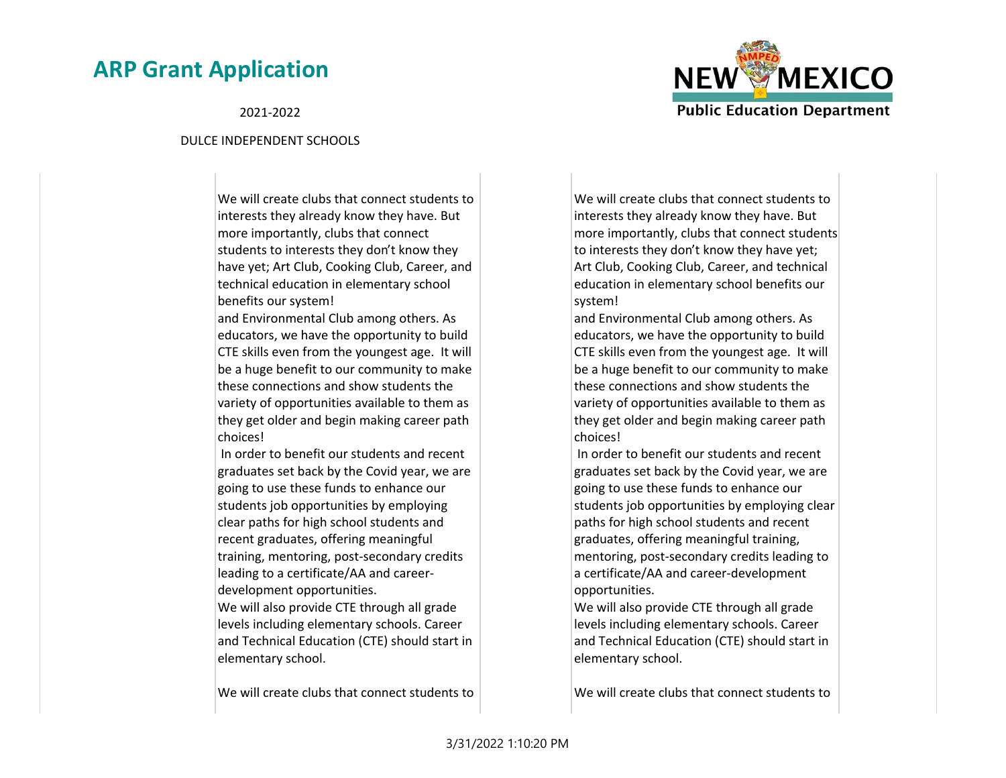

2021-2022

#### DULCE INDEPENDENT SCHOOLS

We will create clubs that connect students to interests they already know they have. But more importantly, clubs that connect students to interests they don't know they have yet; Art Club, Cooking Club, Career, and technical education in elementary school benefits our system!

and Environmental Club among others. As educators, we have the opportunity to build CTE skills even from the youngest age. It will be a huge benefit to our community to make these connections and show students the variety of opportunities available to them as they get older and begin making career path choices!

 In order to benefit our students and recent graduates set back by the Covid year, we are going to use these funds to enhance our students job opportunities by employing clear paths for high school students and recent graduates, offering meaningful training, mentoring, post-secondary credits leading to a certificate/AA and careerdevelopment opportunities. We will also provide CTE through all grade levels including elementary schools. Career and Technical Education (CTE) should start in elementary school.

We will create clubs that connect students to

We will create clubs that connect students to interests they already know they have. But more importantly, clubs that connect students to interests they don't know they have yet; Art Club, Cooking Club, Career, and technical education in elementary school benefits our system!

and Environmental Club among others. As educators, we have the opportunity to build CTE skills even from the youngest age. It will be a huge benefit to our community to make these connections and show students the variety of opportunities available to them as they get older and begin making career path choices!

 In order to benefit our students and recent graduates set back by the Covid year, we are going to use these funds to enhance our students job opportunities by employing clear paths for high school students and recent graduates, offering meaningful training, mentoring, post-secondary credits leading to a certificate/AA and career-development opportunities.

We will also provide CTE through all grade levels including elementary schools. Career and Technical Education (CTE) should start in elementary school.

We will create clubs that connect students to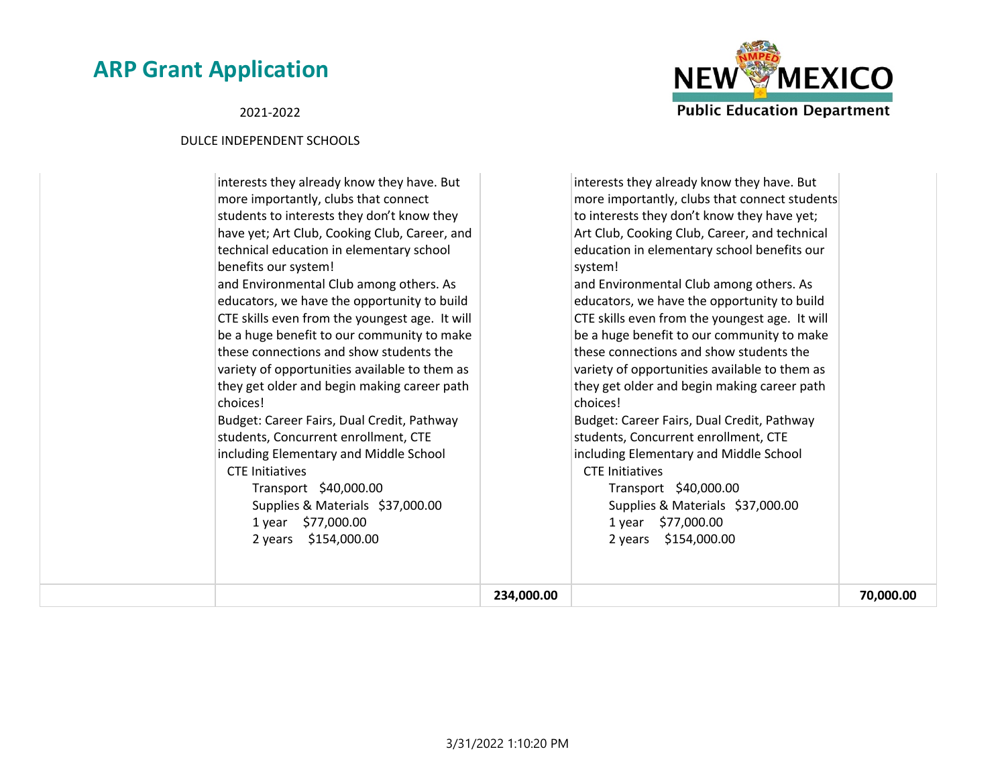#### 2021-2022



|                                                                                                                                                                                                                                                                                                                                                                                                   | 234,000.00 |                                                                                                                                                                                                                                                                                                                                                                                                   | 70,000.00 |
|---------------------------------------------------------------------------------------------------------------------------------------------------------------------------------------------------------------------------------------------------------------------------------------------------------------------------------------------------------------------------------------------------|------------|---------------------------------------------------------------------------------------------------------------------------------------------------------------------------------------------------------------------------------------------------------------------------------------------------------------------------------------------------------------------------------------------------|-----------|
| students, Concurrent enrollment, CTE<br>including Elementary and Middle School<br><b>CTE Initiatives</b><br>Transport \$40,000.00<br>Supplies & Materials \$37,000.00<br>1 year \$77,000.00<br>2 years \$154,000.00                                                                                                                                                                               |            | students, Concurrent enrollment, CTE<br>including Elementary and Middle School<br><b>CTE Initiatives</b><br>Transport \$40,000.00<br>Supplies & Materials \$37,000.00<br>1 year \$77,000.00<br>2 years \$154,000.00                                                                                                                                                                               |           |
| be a huge benefit to our community to make<br>these connections and show students the<br>variety of opportunities available to them as<br>they get older and begin making career path<br>choices!<br>Budget: Career Fairs, Dual Credit, Pathway                                                                                                                                                   |            | be a huge benefit to our community to make<br>these connections and show students the<br>variety of opportunities available to them as<br>they get older and begin making career path<br>choices!<br>Budget: Career Fairs, Dual Credit, Pathway                                                                                                                                                   |           |
| interests they already know they have. But<br>more importantly, clubs that connect<br>students to interests they don't know they<br>have yet; Art Club, Cooking Club, Career, and<br>technical education in elementary school<br>benefits our system!<br>and Environmental Club among others. As<br>educators, we have the opportunity to build<br>CTE skills even from the youngest age. It will |            | interests they already know they have. But<br>more importantly, clubs that connect students<br>to interests they don't know they have yet;<br>Art Club, Cooking Club, Career, and technical<br>education in elementary school benefits our<br>system!<br>and Environmental Club among others. As<br>educators, we have the opportunity to build<br>CTE skills even from the youngest age. It will |           |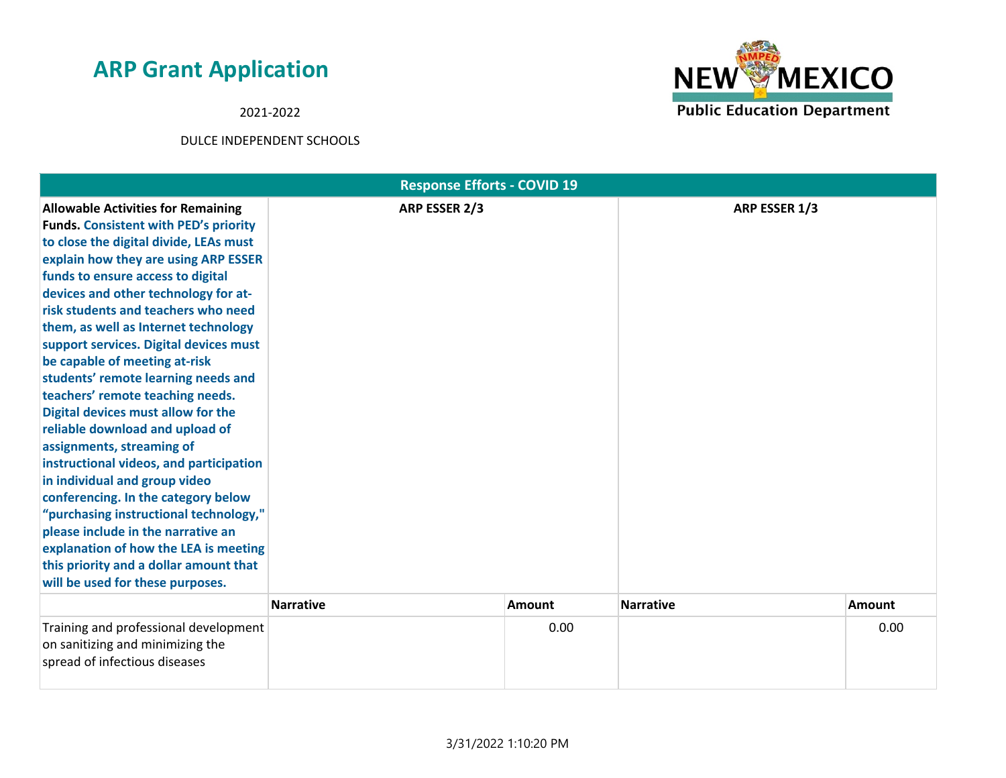2021-2022



| <b>Response Efforts - COVID 19</b>                                                                                                                                                                                                                                                                                                                                                                                                                                                                                                                                                                                                                                                                                                                                                                                                                                                                                            |                  |               |                  |               |
|-------------------------------------------------------------------------------------------------------------------------------------------------------------------------------------------------------------------------------------------------------------------------------------------------------------------------------------------------------------------------------------------------------------------------------------------------------------------------------------------------------------------------------------------------------------------------------------------------------------------------------------------------------------------------------------------------------------------------------------------------------------------------------------------------------------------------------------------------------------------------------------------------------------------------------|------------------|---------------|------------------|---------------|
| <b>Allowable Activities for Remaining</b><br><b>Funds. Consistent with PED's priority</b><br>to close the digital divide, LEAs must<br>explain how they are using ARP ESSER<br>funds to ensure access to digital<br>devices and other technology for at-<br>risk students and teachers who need<br>them, as well as Internet technology<br>support services. Digital devices must<br>be capable of meeting at-risk<br>students' remote learning needs and<br>teachers' remote teaching needs.<br>Digital devices must allow for the<br>reliable download and upload of<br>assignments, streaming of<br>instructional videos, and participation<br>in individual and group video<br>conferencing. In the category below<br>"purchasing instructional technology,"<br>please include in the narrative an<br>explanation of how the LEA is meeting<br>this priority and a dollar amount that<br>will be used for these purposes. | ARP ESSER 2/3    |               | ARP ESSER 1/3    |               |
|                                                                                                                                                                                                                                                                                                                                                                                                                                                                                                                                                                                                                                                                                                                                                                                                                                                                                                                               | <b>Narrative</b> | <b>Amount</b> | <b>Narrative</b> | <b>Amount</b> |
| Training and professional development<br>on sanitizing and minimizing the<br>spread of infectious diseases                                                                                                                                                                                                                                                                                                                                                                                                                                                                                                                                                                                                                                                                                                                                                                                                                    |                  | 0.00          |                  | 0.00          |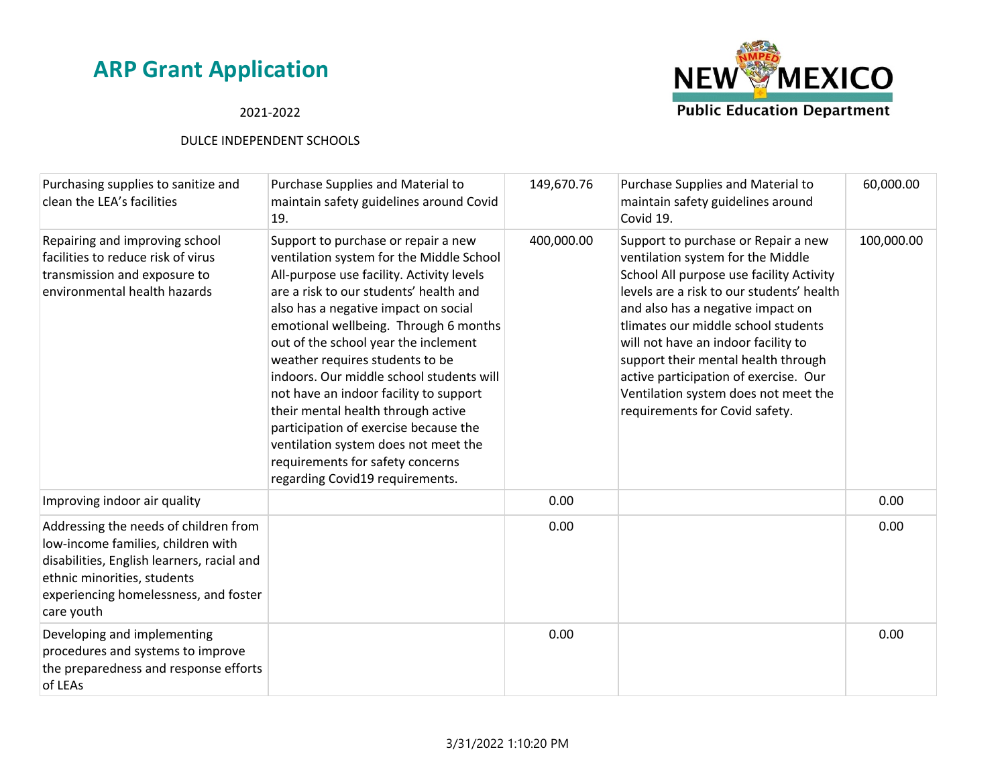#### 2021-2022



| Purchasing supplies to sanitize and<br>clean the LEA's facilities                                                                                                                                               | Purchase Supplies and Material to<br>maintain safety guidelines around Covid<br>19.                                                                                                                                                                                                                                                                                                                                                                                                                                                                                                                                    | 149,670.76 | Purchase Supplies and Material to<br>maintain safety guidelines around<br>Covid 19.                                                                                                                                                                                                                                                                                                                                                            | 60,000.00  |
|-----------------------------------------------------------------------------------------------------------------------------------------------------------------------------------------------------------------|------------------------------------------------------------------------------------------------------------------------------------------------------------------------------------------------------------------------------------------------------------------------------------------------------------------------------------------------------------------------------------------------------------------------------------------------------------------------------------------------------------------------------------------------------------------------------------------------------------------------|------------|------------------------------------------------------------------------------------------------------------------------------------------------------------------------------------------------------------------------------------------------------------------------------------------------------------------------------------------------------------------------------------------------------------------------------------------------|------------|
| Repairing and improving school<br>facilities to reduce risk of virus<br>transmission and exposure to<br>environmental health hazards                                                                            | Support to purchase or repair a new<br>ventilation system for the Middle School<br>All-purpose use facility. Activity levels<br>are a risk to our students' health and<br>also has a negative impact on social<br>emotional wellbeing. Through 6 months<br>out of the school year the inclement<br>weather requires students to be<br>indoors. Our middle school students will<br>not have an indoor facility to support<br>their mental health through active<br>participation of exercise because the<br>ventilation system does not meet the<br>requirements for safety concerns<br>regarding Covid19 requirements. | 400,000.00 | Support to purchase or Repair a new<br>ventilation system for the Middle<br>School All purpose use facility Activity<br>levels are a risk to our students' health<br>and also has a negative impact on<br>tlimates our middle school students<br>will not have an indoor facility to<br>support their mental health through<br>active participation of exercise. Our<br>Ventilation system does not meet the<br>requirements for Covid safety. | 100,000.00 |
| Improving indoor air quality                                                                                                                                                                                    |                                                                                                                                                                                                                                                                                                                                                                                                                                                                                                                                                                                                                        | 0.00       |                                                                                                                                                                                                                                                                                                                                                                                                                                                | 0.00       |
| Addressing the needs of children from<br>low-income families, children with<br>disabilities, English learners, racial and<br>ethnic minorities, students<br>experiencing homelessness, and foster<br>care youth |                                                                                                                                                                                                                                                                                                                                                                                                                                                                                                                                                                                                                        | 0.00       |                                                                                                                                                                                                                                                                                                                                                                                                                                                | 0.00       |
| Developing and implementing<br>procedures and systems to improve<br>the preparedness and response efforts<br>of LEAs                                                                                            |                                                                                                                                                                                                                                                                                                                                                                                                                                                                                                                                                                                                                        | 0.00       |                                                                                                                                                                                                                                                                                                                                                                                                                                                | 0.00       |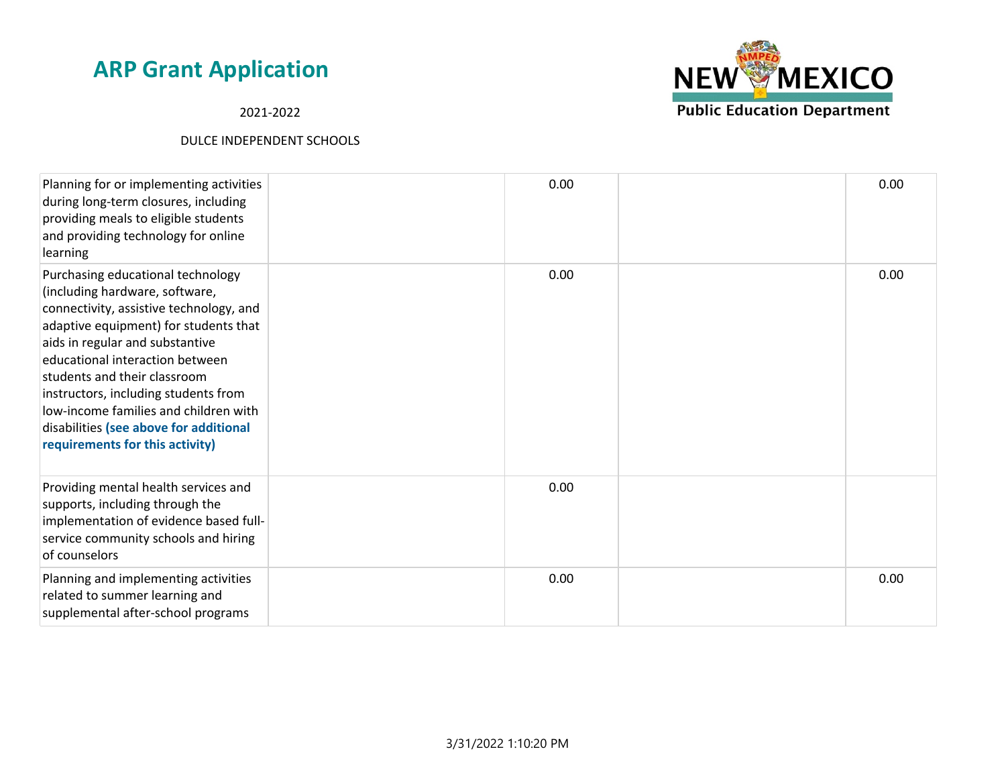2021-2022



| Planning for or implementing activities<br>during long-term closures, including<br>providing meals to eligible students<br>and providing technology for online<br>learning                                                                                                                                                                                                                                                  | 0.00 | 0.00 |
|-----------------------------------------------------------------------------------------------------------------------------------------------------------------------------------------------------------------------------------------------------------------------------------------------------------------------------------------------------------------------------------------------------------------------------|------|------|
| Purchasing educational technology<br>(including hardware, software,<br>connectivity, assistive technology, and<br>adaptive equipment) for students that<br>aids in regular and substantive<br>educational interaction between<br>students and their classroom<br>instructors, including students from<br>low-income families and children with<br>disabilities (see above for additional<br>requirements for this activity) | 0.00 | 0.00 |
| Providing mental health services and<br>supports, including through the<br>implementation of evidence based full-<br>service community schools and hiring<br>of counselors                                                                                                                                                                                                                                                  | 0.00 |      |
| Planning and implementing activities<br>related to summer learning and<br>supplemental after-school programs                                                                                                                                                                                                                                                                                                                | 0.00 | 0.00 |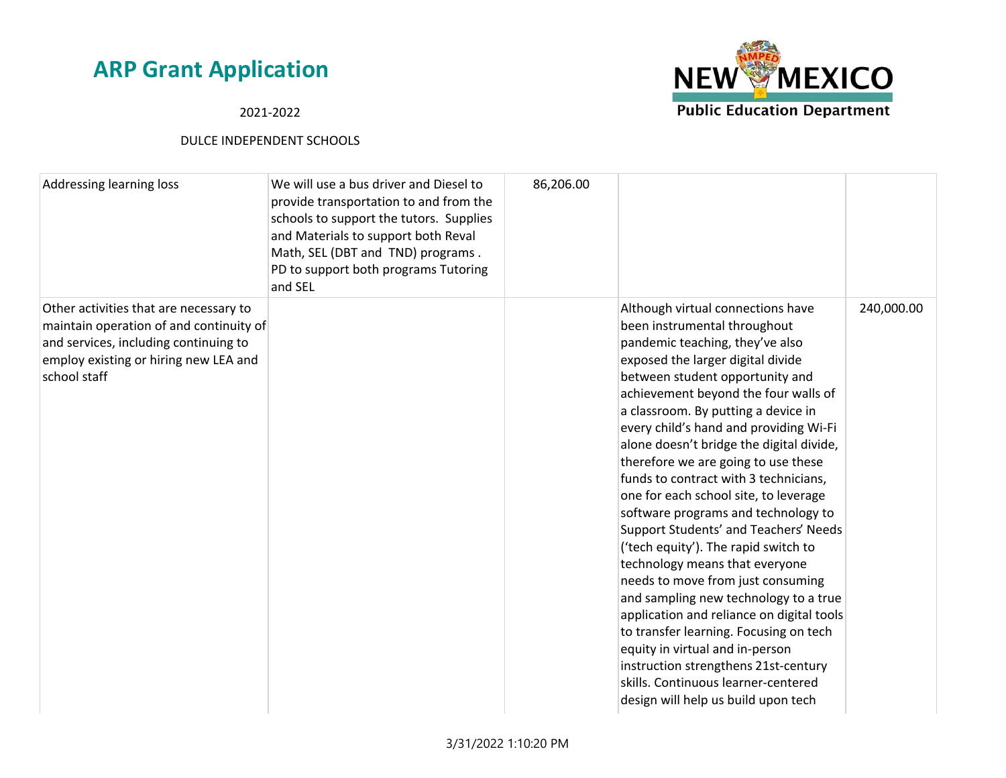# **NEW MEXICO Public Education Department**

#### 2021-2022

| Addressing learning loss                                                                                                                                                            | We will use a bus driver and Diesel to<br>provide transportation to and from the<br>schools to support the tutors. Supplies<br>and Materials to support both Reval<br>Math, SEL (DBT and TND) programs.<br>PD to support both programs Tutoring<br>and SEL | 86,206.00 |                                                                                                                                                                                                                                                                                                                                                                                                                                                                                                                                                                                                                                                                                                                                                                                                                                                                                                                                                                    |            |
|-------------------------------------------------------------------------------------------------------------------------------------------------------------------------------------|------------------------------------------------------------------------------------------------------------------------------------------------------------------------------------------------------------------------------------------------------------|-----------|--------------------------------------------------------------------------------------------------------------------------------------------------------------------------------------------------------------------------------------------------------------------------------------------------------------------------------------------------------------------------------------------------------------------------------------------------------------------------------------------------------------------------------------------------------------------------------------------------------------------------------------------------------------------------------------------------------------------------------------------------------------------------------------------------------------------------------------------------------------------------------------------------------------------------------------------------------------------|------------|
| Other activities that are necessary to<br>maintain operation of and continuity of<br>and services, including continuing to<br>employ existing or hiring new LEA and<br>school staff |                                                                                                                                                                                                                                                            |           | Although virtual connections have<br>been instrumental throughout<br>pandemic teaching, they've also<br>exposed the larger digital divide<br>between student opportunity and<br>achievement beyond the four walls of<br>a classroom. By putting a device in<br>every child's hand and providing Wi-Fi<br>alone doesn't bridge the digital divide,<br>therefore we are going to use these<br>funds to contract with 3 technicians,<br>one for each school site, to leverage<br>software programs and technology to<br>Support Students' and Teachers' Needs<br>('tech equity'). The rapid switch to<br>technology means that everyone<br>needs to move from just consuming<br>and sampling new technology to a true<br>application and reliance on digital tools<br>to transfer learning. Focusing on tech<br>equity in virtual and in-person<br>instruction strengthens 21st-century<br>skills. Continuous learner-centered<br>design will help us build upon tech | 240,000.00 |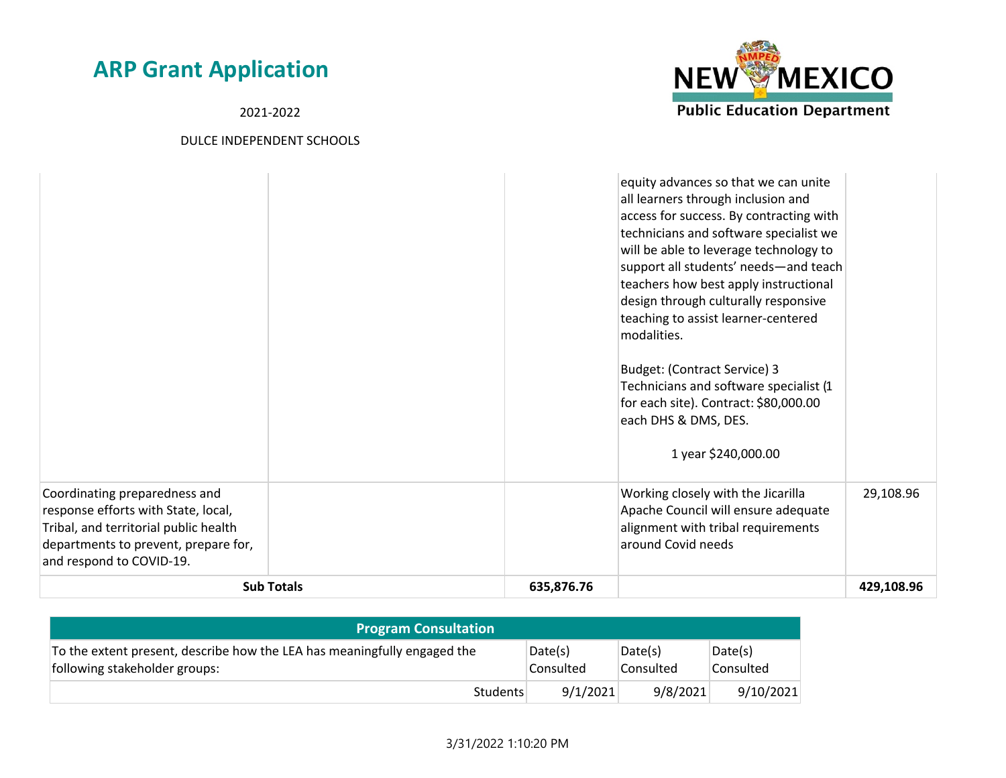2021-2022



| Coordinating preparedness and<br>response efforts with State, local,<br>Tribal, and territorial public health<br>departments to prevent, prepare for,<br>and respond to COVID-19.<br><b>Sub Totals</b> | 635,876.76 | design through culturally responsive<br>teaching to assist learner-centered<br>modalities.<br>Budget: (Contract Service) 3<br>Technicians and software specialist (1<br>for each site). Contract: \$80,000.00<br>each DHS & DMS, DES.<br>1 year \$240,000.00<br>Working closely with the Jicarilla<br>Apache Council will ensure adequate<br>alignment with tribal requirements<br>around Covid needs | 29,108.96<br>429,108.96 |
|--------------------------------------------------------------------------------------------------------------------------------------------------------------------------------------------------------|------------|-------------------------------------------------------------------------------------------------------------------------------------------------------------------------------------------------------------------------------------------------------------------------------------------------------------------------------------------------------------------------------------------------------|-------------------------|
|                                                                                                                                                                                                        |            | equity advances so that we can unite<br>all learners through inclusion and<br>access for success. By contracting with<br>technicians and software specialist we<br>will be able to leverage technology to<br>support all students' needs-and teach<br>teachers how best apply instructional                                                                                                           |                         |

| <b>Program Consultation</b>                                                                               |                      |                      |                       |
|-----------------------------------------------------------------------------------------------------------|----------------------|----------------------|-----------------------|
| To the extent present, describe how the LEA has meaningfully engaged the<br>following stakeholder groups: | Date(s)<br>Consulted | Date(s)<br>Consulted | Date(s)<br>'Consulted |
| Students                                                                                                  | 9/1/2021             | 9/8/2021             | 9/10/2021             |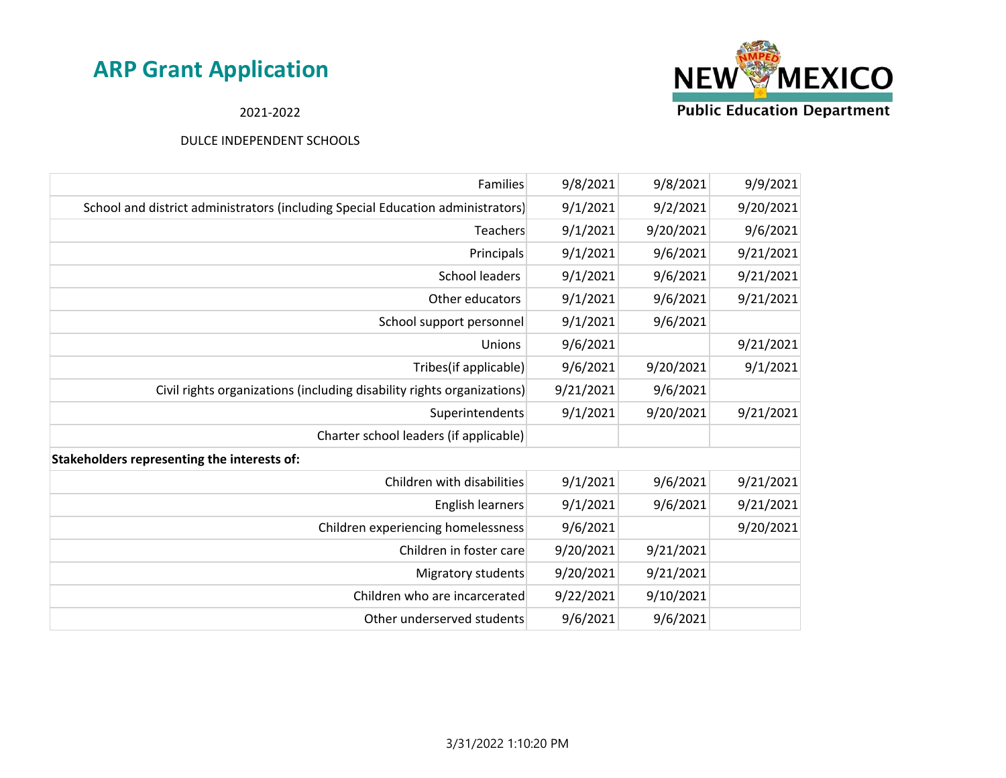

2021-2022

| Families                                                                        | 9/8/2021  | 9/8/2021  | 9/9/2021  |
|---------------------------------------------------------------------------------|-----------|-----------|-----------|
| School and district administrators (including Special Education administrators) | 9/1/2021  | 9/2/2021  | 9/20/2021 |
| Teachers                                                                        | 9/1/2021  | 9/20/2021 | 9/6/2021  |
| Principals                                                                      | 9/1/2021  | 9/6/2021  | 9/21/2021 |
| School leaders                                                                  | 9/1/2021  | 9/6/2021  | 9/21/2021 |
| Other educators                                                                 | 9/1/2021  | 9/6/2021  | 9/21/2021 |
| School support personnel                                                        | 9/1/2021  | 9/6/2021  |           |
| Unions                                                                          | 9/6/2021  |           | 9/21/2021 |
| Tribes(if applicable)                                                           | 9/6/2021  | 9/20/2021 | 9/1/2021  |
| Civil rights organizations (including disability rights organizations)          | 9/21/2021 | 9/6/2021  |           |
| Superintendents                                                                 | 9/1/2021  | 9/20/2021 | 9/21/2021 |
| Charter school leaders (if applicable)                                          |           |           |           |
| Stakeholders representing the interests of:                                     |           |           |           |
| Children with disabilities                                                      | 9/1/2021  | 9/6/2021  | 9/21/2021 |
| <b>English learners</b>                                                         | 9/1/2021  | 9/6/2021  | 9/21/2021 |
| Children experiencing homelessness                                              | 9/6/2021  |           | 9/20/2021 |
| Children in foster care                                                         | 9/20/2021 | 9/21/2021 |           |
| Migratory students                                                              | 9/20/2021 | 9/21/2021 |           |
| Children who are incarcerated                                                   | 9/22/2021 | 9/10/2021 |           |
| Other underserved students                                                      | 9/6/2021  | 9/6/2021  |           |
|                                                                                 |           |           |           |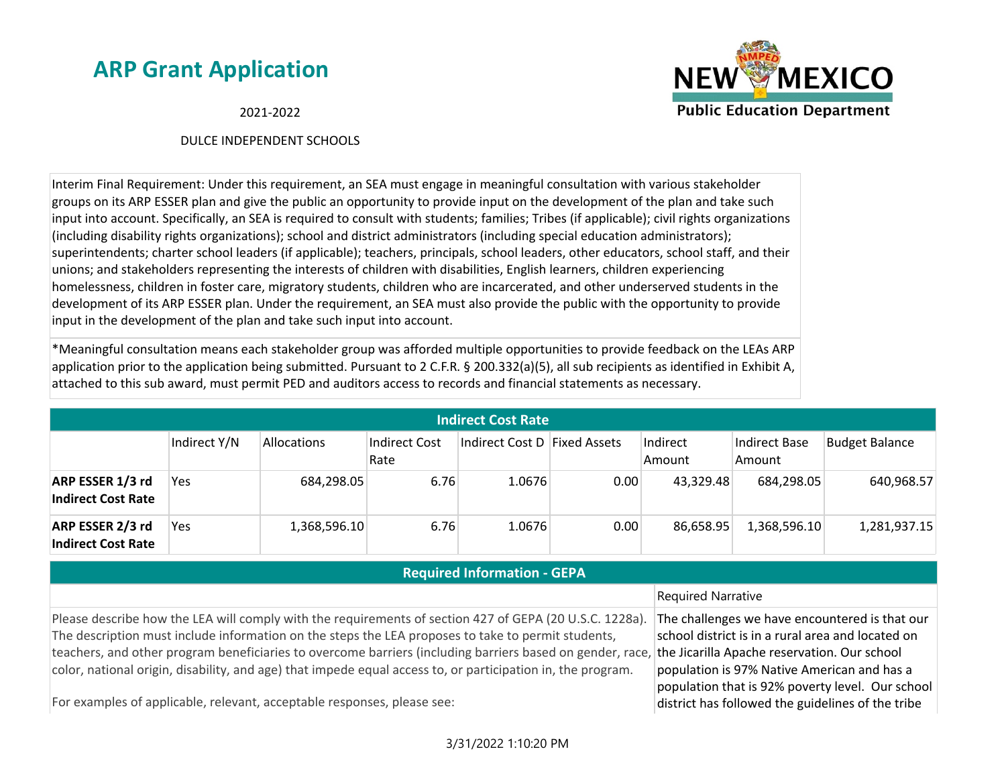**NEW MEXICO Public Education Department** 

2021-2022

#### DULCE INDEPENDENT SCHOOLS

Interim Final Requirement: Under this requirement, an SEA must engage in meaningful consultation with various stakeholder groups on its ARP ESSER plan and give the public an opportunity to provide input on the development of the plan and take such input into account. Specifically, an SEA is required to consult with students; families; Tribes (if applicable); civil rights organizations (including disability rights organizations); school and district administrators (including special education administrators); superintendents; charter school leaders (if applicable); teachers, principals, school leaders, other educators, school staff, and their unions; and stakeholders representing the interests of children with disabilities, English learners, children experiencing homelessness, children in foster care, migratory students, children who are incarcerated, and other underserved students in the development of its ARP ESSER plan. Under the requirement, an SEA must also provide the public with the opportunity to provide input in the development of the plan and take such input into account.

\*Meaningful consultation means each stakeholder group was afforded multiple opportunities to provide feedback on the LEAs ARP application prior to the application being submitted. Pursuant to 2 C.F.R. § 200.332(a)(5), all sub recipients as identified in Exhibit A, attached to this sub award, must permit PED and auditors access to records and financial statements as necessary.

| <b>Indirect Cost Rate</b>                     |              |                    |                       |                              |      |                    |                                |                       |
|-----------------------------------------------|--------------|--------------------|-----------------------|------------------------------|------|--------------------|--------------------------------|-----------------------|
|                                               | Indirect Y/N | <b>Allocations</b> | Indirect Cost<br>Rate | Indirect Cost D Fixed Assets |      | Indirect<br>Amount | <b>Indirect Base</b><br>Amount | <b>Budget Balance</b> |
| ARP ESSER 1/3 rd<br><b>Indirect Cost Rate</b> | Yes.         | 684,298.05         | 6.76                  | 1.0676                       | 0.00 | 43,329.48          | 684,298.05                     | 640,968.57            |
| ARP ESSER 2/3 rd<br><b>Indirect Cost Rate</b> | Yes          | 1,368,596.10       | 6.76                  | 1.0676                       | 0.00 | 86,658.95          | 1,368,596.10                   | 1,281,937.15          |

#### **Required Information - GEPA**

#### Required Narrative

Please describe how the LEA will comply with the requirements of section 427 of GEPA (20 U.S.C. 1228a). The description must include information on the steps the LEA proposes to take to permit students, teachers, and other program beneficiaries to overcome barriers (including barriers based on gender, race, the Jicarilla Apache reservation. Our school color, national origin, disability, and age) that impede equal access to, or participation in, the program.

The challenges we have encountered is that our school district is in a rural area and located on population is 97% Native American and has a population that is 92% poverty level. Our school district has followed the guidelines of the tribe

For examples of applicable, relevant, acceptable responses, please see: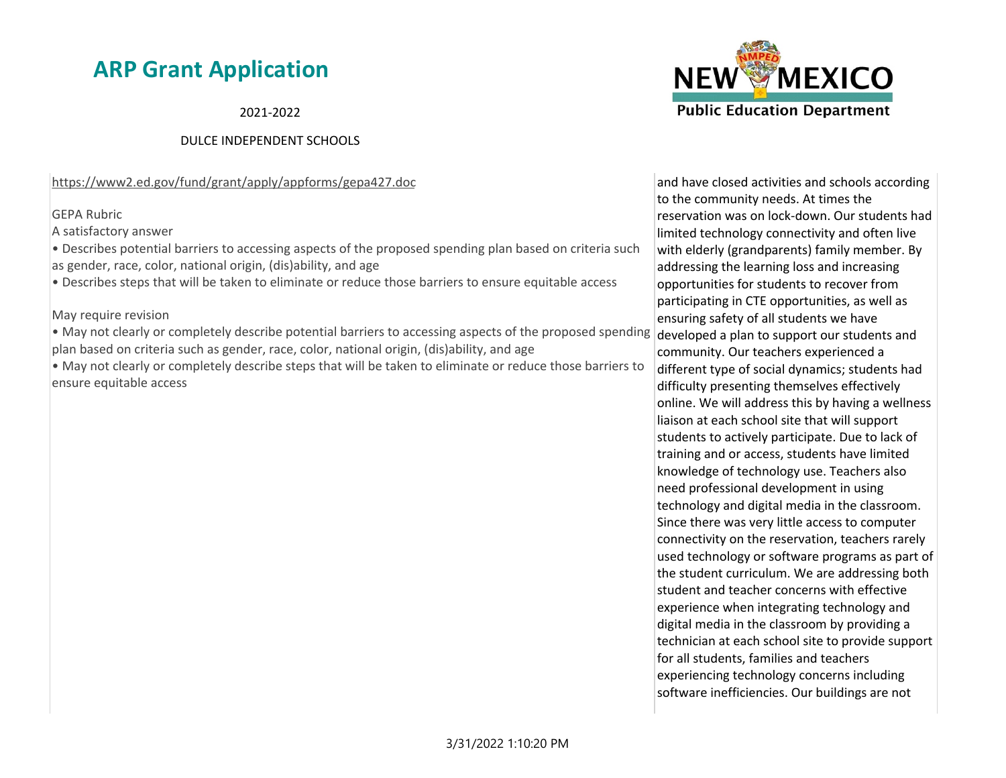2021-2022

#### DULCE INDEPENDENT SCHOOLS

https://www2.ed.gov/fund/grant/apply/appforms/gepa427.doc

GEPA Rubric

A satisfactory answer

• Describes potential barriers to accessing aspects of the proposed spending plan based on criteria such as gender, race, color, national origin, (dis)ability, and age

• Describes steps that will be taken to eliminate or reduce those barriers to ensure equitable access

May require revision

• May not clearly or completely describe potential barriers to accessing aspects of the proposed spending plan based on criteria such as gender, race, color, national origin, (dis)ability, and age

• May not clearly or completely describe steps that will be taken to eliminate or reduce those barriers to ensure equitable access



and have closed activities and schools according to the community needs. At times the reservation was on lock-down. Our students had limited technology connectivity and often live with elderly (grandparents) family member. By addressing the learning loss and increasing opportunities for students to recover from participating in CTE opportunities, as well as ensuring safety of all students we have developed a plan to support our students and community. Our teachers experienced a different type of social dynamics; students had difficulty presenting themselves effectively online. We will address this by having a wellness liaison at each school site that will support students to actively participate. Due to lack of training and or access, students have limited knowledge of technology use. Teachers also need professional development in using technology and digital media in the classroom. Since there was very little access to computer connectivity on the reservation, teachers rarely used technology or software programs as part of the student curriculum. We are addressing both student and teacher concerns with effective experience when integrating technology and digital media in the classroom by providing a technician at each school site to provide support for all students, families and teachers experiencing technology concerns including software inefficiencies. Our buildings are not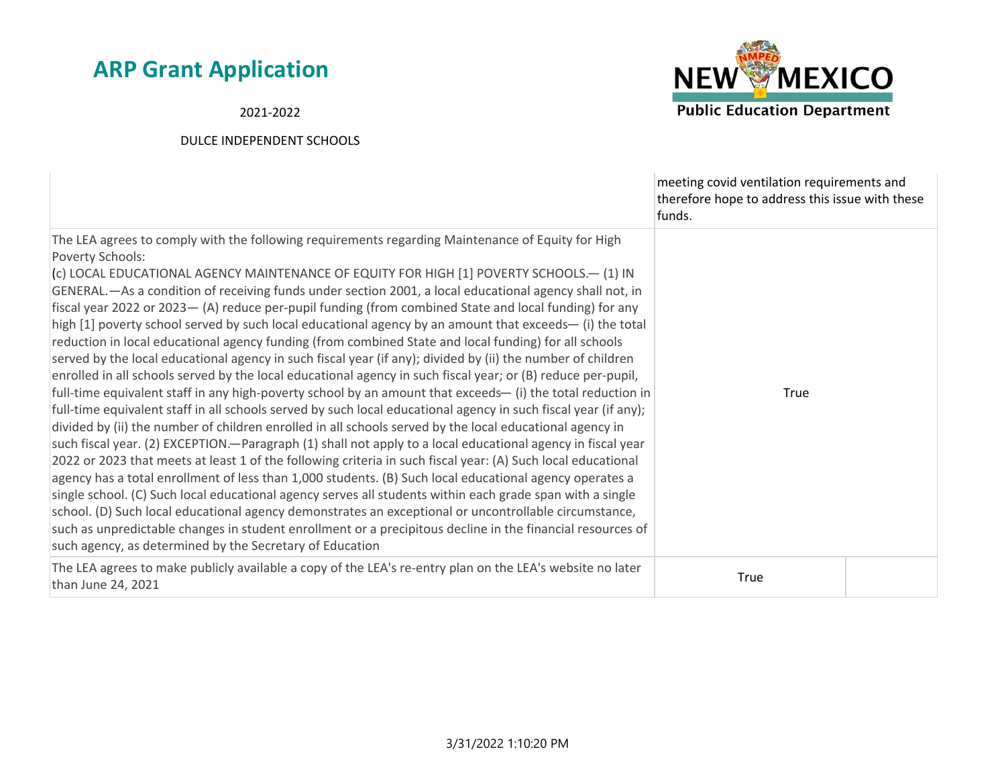2021-2022



|                                                                                                                                                                                                                                                                                                                                                                                                                                                                                                                                                                                                                                                                                                                                                                                                                                                                                                                                                                                                                                                                                                                                                                                                                                                                                                                                                                                                                                                                                                                                                                                                                                                                                                                                                                                                                                                                                                                                                                                     | meeting covid ventilation requirements and<br>therefore hope to address this issue with these<br>funds. |  |
|-------------------------------------------------------------------------------------------------------------------------------------------------------------------------------------------------------------------------------------------------------------------------------------------------------------------------------------------------------------------------------------------------------------------------------------------------------------------------------------------------------------------------------------------------------------------------------------------------------------------------------------------------------------------------------------------------------------------------------------------------------------------------------------------------------------------------------------------------------------------------------------------------------------------------------------------------------------------------------------------------------------------------------------------------------------------------------------------------------------------------------------------------------------------------------------------------------------------------------------------------------------------------------------------------------------------------------------------------------------------------------------------------------------------------------------------------------------------------------------------------------------------------------------------------------------------------------------------------------------------------------------------------------------------------------------------------------------------------------------------------------------------------------------------------------------------------------------------------------------------------------------------------------------------------------------------------------------------------------------|---------------------------------------------------------------------------------------------------------|--|
| The LEA agrees to comply with the following requirements regarding Maintenance of Equity for High<br>Poverty Schools:<br>(c) LOCAL EDUCATIONAL AGENCY MAINTENANCE OF EQUITY FOR HIGH [1] POVERTY SCHOOLS.- (1) IN<br>GENERAL.—As a condition of receiving funds under section 2001, a local educational agency shall not, in<br>fiscal year 2022 or 2023 - (A) reduce per-pupil funding (from combined State and local funding) for any<br>high [1] poverty school served by such local educational agency by an amount that exceeds— (i) the total<br>reduction in local educational agency funding (from combined State and local funding) for all schools<br>served by the local educational agency in such fiscal year (if any); divided by (ii) the number of children<br>enrolled in all schools served by the local educational agency in such fiscal year; or (B) reduce per-pupil,<br>full-time equivalent staff in any high-poverty school by an amount that exceeds- (i) the total reduction in<br>full-time equivalent staff in all schools served by such local educational agency in such fiscal year (if any);<br>divided by (ii) the number of children enrolled in all schools served by the local educational agency in<br>such fiscal year. (2) EXCEPTION.—Paragraph (1) shall not apply to a local educational agency in fiscal year<br>2022 or 2023 that meets at least 1 of the following criteria in such fiscal year: (A) Such local educational<br>agency has a total enrollment of less than 1,000 students. (B) Such local educational agency operates a<br>single school. (C) Such local educational agency serves all students within each grade span with a single<br>school. (D) Such local educational agency demonstrates an exceptional or uncontrollable circumstance,<br>such as unpredictable changes in student enrollment or a precipitous decline in the financial resources of<br>such agency, as determined by the Secretary of Education | <b>True</b>                                                                                             |  |
| The LEA agrees to make publicly available a copy of the LEA's re-entry plan on the LEA's website no later<br>than June 24, 2021                                                                                                                                                                                                                                                                                                                                                                                                                                                                                                                                                                                                                                                                                                                                                                                                                                                                                                                                                                                                                                                                                                                                                                                                                                                                                                                                                                                                                                                                                                                                                                                                                                                                                                                                                                                                                                                     | <b>True</b>                                                                                             |  |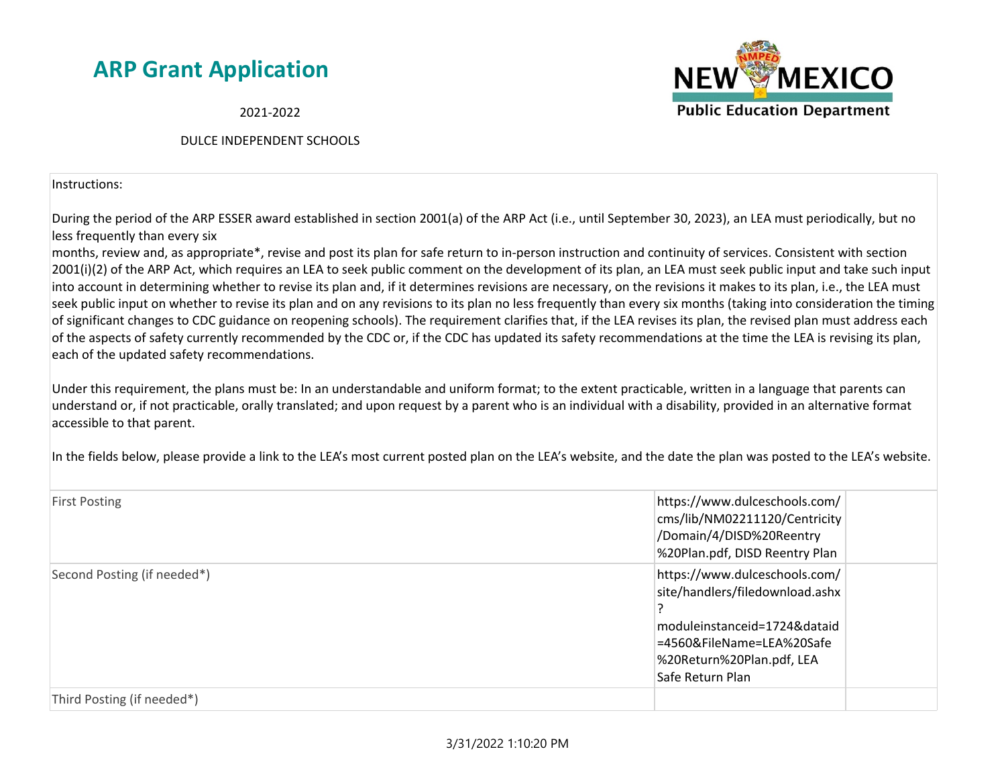2021-2022

#### DULCE INDEPENDENT SCHOOLS

Instructions:

During the period of the ARP ESSER award established in section 2001(a) of the ARP Act (i.e., until September 30, 2023), an LEA must periodically, but no less frequently than every six

months, review and, as appropriate\*, revise and post its plan for safe return to in-person instruction and continuity of services. Consistent with section 2001(i)(2) of the ARP Act, which requires an LEA to seek public comment on the development of its plan, an LEA must seek public input and take such input into account in determining whether to revise its plan and, if it determines revisions are necessary, on the revisions it makes to its plan, i.e., the LEA must seek public input on whether to revise its plan and on any revisions to its plan no less frequently than every six months (taking into consideration the timing of significant changes to CDC guidance on reopening schools). The requirement clarifies that, if the LEA revises its plan, the revised plan must address each of the aspects of safety currently recommended by the CDC or, if the CDC has updated its safety recommendations at the time the LEA is revising its plan, each of the updated safety recommendations.

Under this requirement, the plans must be: In an understandable and uniform format; to the extent practicable, written in a language that parents can understand or, if not practicable, orally translated; and upon request by a parent who is an individual with a disability, provided in an alternative format accessible to that parent.

In the fields below, please provide a link to the LEA's most current posted plan on the LEA's website, and the date the plan was posted to the LEA's website.

| <b>First Posting</b>        | https://www.dulceschools.com/<br>cms/lib/NM02211120/Centricity<br>/Domain/4/DISD%20Reentry<br>%20Plan.pdf, DISD Reentry Plan                                                   |
|-----------------------------|--------------------------------------------------------------------------------------------------------------------------------------------------------------------------------|
| Second Posting (if needed*) | https://www.dulceschools.com/<br>site/handlers/filedownload.ashx<br>moduleinstanceid=1724&dataid<br>=4560&FileName=LEA%20Safe<br>%20Return%20Plan.pdf, LEA<br>Safe Return Plan |
| Third Posting (if needed*)  |                                                                                                                                                                                |

#### 3/31/2022 1:10:20 PM